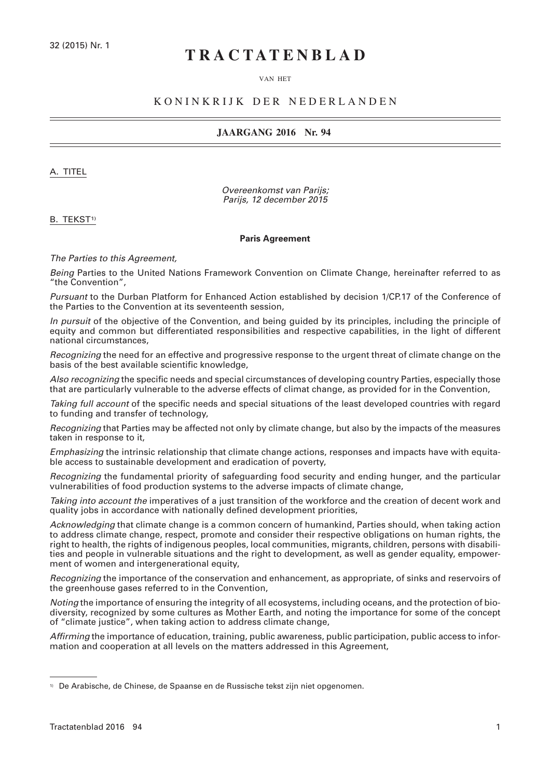# **TRACTATENBLAD**

#### VAN HET

# KONINKRIJK DER NEDERLANDEN

# **JAARGANG 2016 Nr. 94**

A. TITEL

*Overeenkomst van Parijs; Parijs, 12 december 2015*

B. TEKST<sup>1)</sup>

#### **Paris Agreement**

*The Parties to this Agreement,*

*Being* Parties to the United Nations Framework Convention on Climate Change, hereinafter referred to as "the Convention",

*Pursuant* to the Durban Platform for Enhanced Action established by decision 1/CP.17 of the Conference of the Parties to the Convention at its seventeenth session,

*In pursuit* of the objective of the Convention, and being guided by its principles, including the principle of equity and common but differentiated responsibilities and respective capabilities, in the light of different national circumstances,

*Recognizing* the need for an effective and progressive response to the urgent threat of climate change on the basis of the best available scientific knowledge,

*Also recognizing* the specific needs and special circumstances of developing country Parties, especially those that are particularly vulnerable to the adverse effects of climat change, as provided for in the Convention,

*Taking full account* of the specific needs and special situations of the least developed countries with regard to funding and transfer of technology,

*Recognizing* that Parties may be affected not only by climate change, but also by the impacts of the measures taken in response to it,

*Emphasizing* the intrinsic relationship that climate change actions, responses and impacts have with equitable access to sustainable development and eradication of poverty,

*Recognizing* the fundamental priority of safeguarding food security and ending hunger, and the particular vulnerabilities of food production systems to the adverse impacts of climate change,

*Taking into account the* imperatives of a just transition of the workforce and the creation of decent work and quality jobs in accordance with nationally defined development priorities,

*Acknowledging* that climate change is a common concern of humankind, Parties should, when taking action to address climate change, respect, promote and consider their respective obligations on human rights, the right to health, the rights of indigenous peoples, local communities, migrants, children, persons with disabilities and people in vulnerable situations and the right to development, as well as gender equality, empowerment of women and intergenerational equity.

*Recognizing* the importance of the conservation and enhancement, as appropriate, of sinks and reservoirs of the greenhouse gases referred to in the Convention,

*Noting* the importance of ensuring the integrity of all ecosystems, including oceans, and the protection of biodiversity, recognized by some cultures as Mother Earth, and noting the importance for some of the concept of "climate justice", when taking action to address climate change,

*Affirming* the importance of education, training, public awareness, public participation, public access to information and cooperation at all levels on the matters addressed in this Agreement,

<sup>1)</sup> De Arabische, de Chinese, de Spaanse en de Russische tekst zijn niet opgenomen.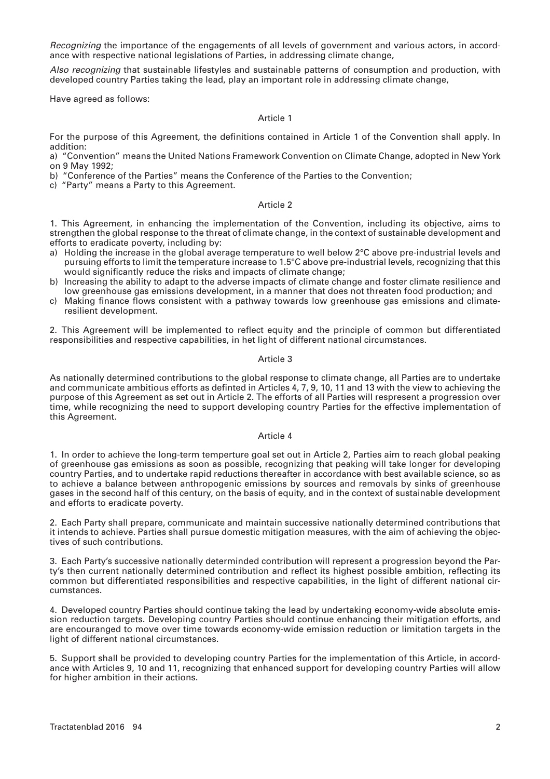*Recognizing* the importance of the engagements of all levels of government and various actors, in accordance with respective national legislations of Parties, in addressing climate change,

*Also recognizing* that sustainable lifestyles and sustainable patterns of consumption and production, with developed country Parties taking the lead, play an important role in addressing climate change,

Have agreed as follows:

# Article 1

For the purpose of this Agreement, the definitions contained in Article 1 of the Convention shall apply. In addition:

a) "Convention" means the United Nations Framework Convention on Climate Change, adopted in New York on 9 May 1992;

b) "Conference of the Parties" means the Conference of the Parties to the Convention;

c) "Party" means a Party to this Agreement.

#### Article 2

1. This Agreement, in enhancing the implementation of the Convention, including its objective, aims to strengthen the global response to the threat of climate change, in the context of sustainable development and efforts to eradicate poverty, including by:

- a) Holding the increase in the global average temperature to well below 2°C above pre-industrial levels and pursuing efforts to limit the temperature increase to 1.5°C above pre-industrial levels, recognizing that this would significantly reduce the risks and impacts of climate change;
- b) Increasing the ability to adapt to the adverse impacts of climate change and foster climate resilience and low greenhouse gas emissions development, in a manner that does not threaten food production; and
- c) Making finance flows consistent with a pathway towards low greenhouse gas emissions and climateresilient development.

2. This Agreement will be implemented to reflect equity and the principle of common but differentiated responsibilities and respective capabilities, in het light of different national circumstances.

#### Article 3

As nationally determined contributions to the global response to climate change, all Parties are to undertake and communicate ambitious efforts as definted in Articles 4, 7, 9, 10, 11 and 13 with the view to achieving the purpose of this Agreement as set out in Article 2. The efforts of all Parties will respresent a progression over time, while recognizing the need to support developing country Parties for the effective implementation of this Agreement.

#### Article 4

1. In order to achieve the long-term temperture goal set out in Article 2, Parties aim to reach global peaking of greenhouse gas emissions as soon as possible, recognizing that peaking will take longer for developing country Parties, and to undertake rapid reductions thereafter in accordance with best available science, so as to achieve a balance between anthropogenic emissions by sources and removals by sinks of greenhouse gases in the second half of this century, on the basis of equity, and in the context of sustainable development and efforts to eradicate poverty.

2. Each Party shall prepare, communicate and maintain successive nationally determined contributions that it intends to achieve. Parties shall pursue domestic mitigation measures, with the aim of achieving the objectives of such contributions.

3. Each Party's successive nationally determinded contribution will represent a progression beyond the Party's then current nationally determined contribution and reflect its highest possible ambition, reflecting its common but differentiated responsibilities and respective capabilities, in the light of different national circumstances.

4. Developed country Parties should continue taking the lead by undertaking economy-wide absolute emission reduction targets. Developing country Parties should continue enhancing their mitigation efforts, and are encouranged to move over time towards economy-wide emission reduction or limitation targets in the light of different national circumstances.

5. Support shall be provided to developing country Parties for the implementation of this Article, in accordance with Articles 9, 10 and 11, recognizing that enhanced support for developing country Parties will allow for higher ambition in their actions.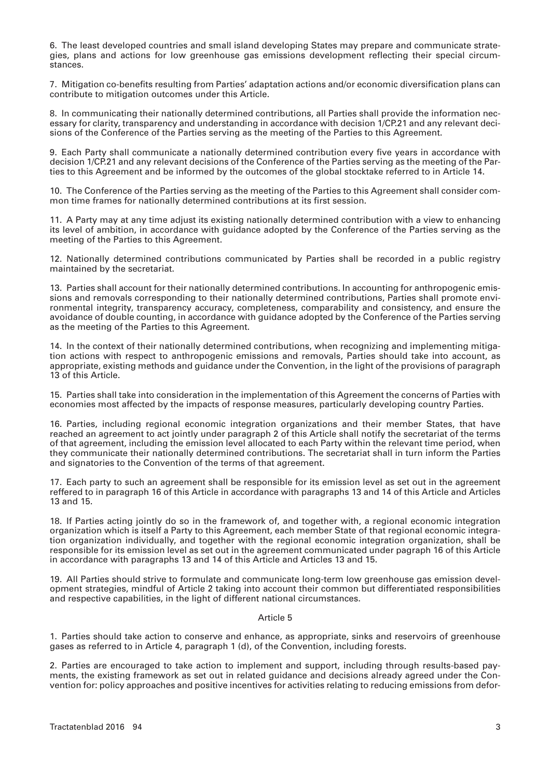6. The least developed countries and small island developing States may prepare and communicate strategies, plans and actions for low greenhouse gas emissions development reflecting their special circumstances.

7. Mitigation co-benefits resulting from Parties' adaptation actions and/or economic diversification plans can contribute to mitigation outcomes under this Article.

8. In communicating their nationally determined contributions, all Parties shall provide the information necessary for clarity, transparency and understanding in accordance with decision 1/CP.21 and any relevant decisions of the Conference of the Parties serving as the meeting of the Parties to this Agreement.

9. Each Party shall communicate a nationally determined contribution every five years in accordance with decision 1/CP.21 and any relevant decisions of the Conference of the Parties serving as the meeting of the Parties to this Agreement and be informed by the outcomes of the global stocktake referred to in Article 14.

10. The Conference of the Parties serving as the meeting of the Parties to this Agreement shall consider common time frames for nationally determined contributions at its first session.

11. A Party may at any time adjust its existing nationally determined contribution with a view to enhancing its level of ambition, in accordance with guidance adopted by the Conference of the Parties serving as the meeting of the Parties to this Agreement.

12. Nationally determined contributions communicated by Parties shall be recorded in a public registry maintained by the secretariat.

13. Parties shall account for their nationally determined contributions. In accounting for anthropogenic emissions and removals corresponding to their nationally determined contributions, Parties shall promote environmental integrity, transparency accuracy, completeness, comparability and consistency, and ensure the avoidance of double counting, in accordance with guidance adopted by the Conference of the Parties serving as the meeting of the Parties to this Agreement.

14. In the context of their nationally determined contributions, when recognizing and implementing mitigation actions with respect to anthropogenic emissions and removals, Parties should take into account, as appropriate, existing methods and guidance under the Convention, in the light of the provisions of paragraph 13 of this Article.

15. Parties shall take into consideration in the implementation of this Agreement the concerns of Parties with economies most affected by the impacts of response measures, particularly developing country Parties.

16. Parties, including regional economic integration organizations and their member States, that have reached an agreement to act jointly under paragraph 2 of this Article shall notify the secretariat of the terms of that agreement, including the emission level allocated to each Party within the relevant time period, when they communicate their nationally determined contributions. The secretariat shall in turn inform the Parties and signatories to the Convention of the terms of that agreement.

17. Each party to such an agreement shall be responsible for its emission level as set out in the agreement reffered to in paragraph 16 of this Article in accordance with paragraphs 13 and 14 of this Article and Articles 13 and 15.

18. If Parties acting jointly do so in the framework of, and together with, a regional economic integration organization which is itself a Party to this Agreement, each member State of that regional economic integration organization individually, and together with the regional economic integration organization, shall be responsible for its emission level as set out in the agreement communicated under pagraph 16 of this Article in accordance with paragraphs 13 and 14 of this Article and Articles 13 and 15.

19. All Parties should strive to formulate and communicate long-term low greenhouse gas emission development strategies, mindful of Article 2 taking into account their common but differentiated responsibilities and respective capabilities, in the light of different national circumstances.

# Article 5

1. Parties should take action to conserve and enhance, as appropriate, sinks and reservoirs of greenhouse gases as referred to in Article 4, paragraph 1 (d), of the Convention, including forests.

2. Parties are encouraged to take action to implement and support, including through results-based payments, the existing framework as set out in related guidance and decisions already agreed under the Convention for: policy approaches and positive incentives for activities relating to reducing emissions from defor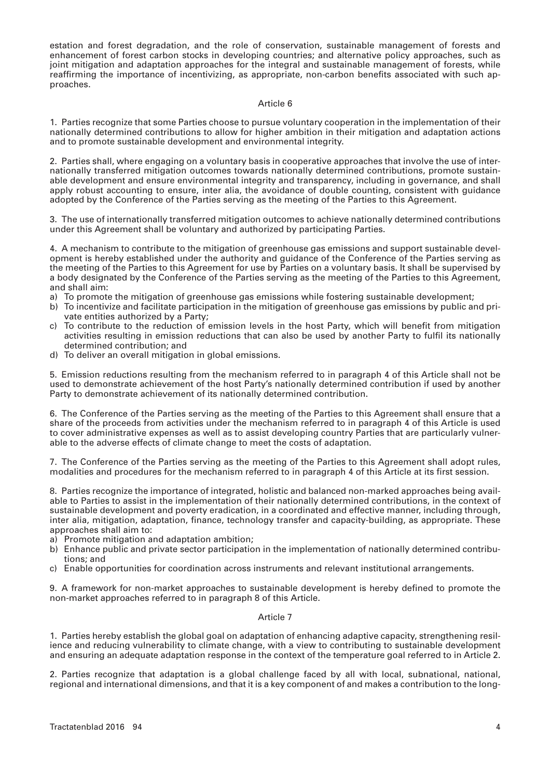estation and forest degradation, and the role of conservation, sustainable management of forests and enhancement of forest carbon stocks in developing countries; and alternative policy approaches, such as joint mitigation and adaptation approaches for the integral and sustainable management of forests, while reaffirming the importance of incentivizing, as appropriate, non-carbon benefits associated with such approaches.

#### Article 6

1. Parties recognize that some Parties choose to pursue voluntary cooperation in the implementation of their nationally determined contributions to allow for higher ambition in their mitigation and adaptation actions and to promote sustainable development and environmental integrity.

2. Parties shall, where engaging on a voluntary basis in cooperative approaches that involve the use of internationally transferred mitigation outcomes towards nationally determined contributions, promote sustainable development and ensure environmental integrity and transparency, including in governance, and shall apply robust accounting to ensure, inter alia, the avoidance of double counting, consistent with guidance adopted by the Conference of the Parties serving as the meeting of the Parties to this Agreement.

3. The use of internationally transferred mitigation outcomes to achieve nationally determined contributions under this Agreement shall be voluntary and authorized by participating Parties.

4. A mechanism to contribute to the mitigation of greenhouse gas emissions and support sustainable development is hereby established under the authority and guidance of the Conference of the Parties serving as the meeting of the Parties to this Agreement for use by Parties on a voluntary basis. It shall be supervised by a body designated by the Conference of the Parties serving as the meeting of the Parties to this Agreement, and shall aim:

- a) To promote the mitigation of greenhouse gas emissions while fostering sustainable development;
- b) To incentivize and facilitate participation in the mitigation of greenhouse gas emissions by public and private entities authorized by a Party;
- c) To contribute to the reduction of emission levels in the host Party, which will benefit from mitigation activities resulting in emission reductions that can also be used by another Party to fulfil its nationally determined contribution; and
- d) To deliver an overall mitigation in global emissions.

5. Emission reductions resulting from the mechanism referred to in paragraph 4 of this Article shall not be used to demonstrate achievement of the host Party's nationally determined contribution if used by another Party to demonstrate achievement of its nationally determined contribution.

6. The Conference of the Parties serving as the meeting of the Parties to this Agreement shall ensure that a share of the proceeds from activities under the mechanism referred to in paragraph 4 of this Article is used to cover administrative expenses as well as to assist developing country Parties that are particularly vulnerable to the adverse effects of climate change to meet the costs of adaptation.

7. The Conference of the Parties serving as the meeting of the Parties to this Agreement shall adopt rules, modalities and procedures for the mechanism referred to in paragraph 4 of this Article at its first session.

8. Parties recognize the importance of integrated, holistic and balanced non-marked approaches being available to Parties to assist in the implementation of their nationally determined contributions, in the context of sustainable development and poverty eradication, in a coordinated and effective manner, including through, inter alia, mitigation, adaptation, finance, technology transfer and capacity-building, as appropriate. These approaches shall aim to:

- a) Promote mitigation and adaptation ambition;
- b) Enhance public and private sector participation in the implementation of nationally determined contributions; and
- c) Enable opportunities for coordination across instruments and relevant institutional arrangements.

9. A framework for non-market approaches to sustainable development is hereby defined to promote the non-market approaches referred to in paragraph 8 of this Article.

# Article 7

1. Parties hereby establish the global goal on adaptation of enhancing adaptive capacity, strengthening resilience and reducing vulnerability to climate change, with a view to contributing to sustainable development and ensuring an adequate adaptation response in the context of the temperature goal referred to in Article 2.

2. Parties recognize that adaptation is a global challenge faced by all with local, subnational, national, regional and international dimensions, and that it is a key component of and makes a contribution to the long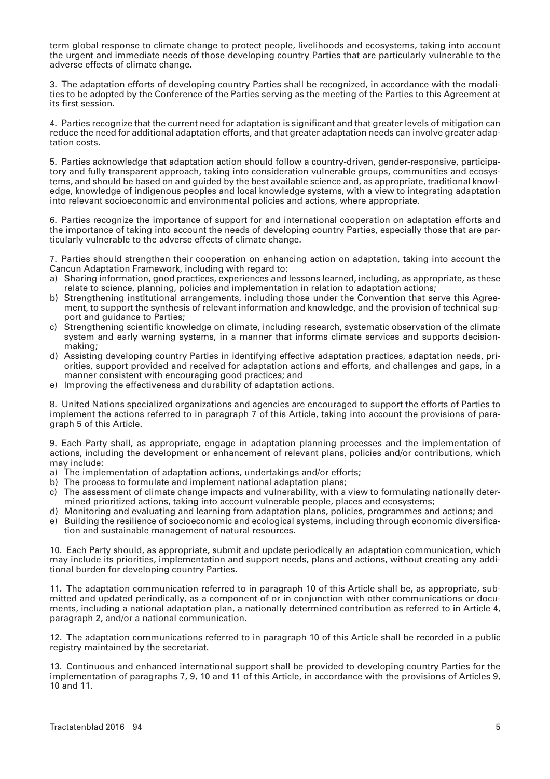term global response to climate change to protect people, livelihoods and ecosystems, taking into account the urgent and immediate needs of those developing country Parties that are particularly vulnerable to the adverse effects of climate change.

3. The adaptation efforts of developing country Parties shall be recognized, in accordance with the modalities to be adopted by the Conference of the Parties serving as the meeting of the Parties to this Agreement at its first session.

4. Parties recognize that the current need for adaptation is significant and that greater levels of mitigation can reduce the need for additional adaptation efforts, and that greater adaptation needs can involve greater adaptation costs.

5. Parties acknowledge that adaptation action should follow a country-driven, gender-responsive, participatory and fully transparent approach, taking into consideration vulnerable groups, communities and ecosystems, and should be based on and guided by the best available science and, as appropriate, traditional knowledge, knowledge of indigenous peoples and local knowledge systems, with a view to integrating adaptation into relevant socioeconomic and environmental policies and actions, where appropriate.

6. Parties recognize the importance of support for and international cooperation on adaptation efforts and the importance of taking into account the needs of developing country Parties, especially those that are particularly vulnerable to the adverse effects of climate change.

7. Parties should strengthen their cooperation on enhancing action on adaptation, taking into account the Cancun Adaptation Framework, including with regard to:

- a) Sharing information, good practices, experiences and lessons learned, including, as appropriate, as these relate to science, planning, policies and implementation in relation to adaptation actions;
- b) Strengthening institutional arrangements, including those under the Convention that serve this Agreement, to support the synthesis of relevant information and knowledge, and the provision of technical support and guidance to Parties;
- c) Strengthening scientific knowledge on climate, including research, systematic observation of the climate system and early warning systems, in a manner that informs climate services and supports decisionmaking;
- d) Assisting developing country Parties in identifying effective adaptation practices, adaptation needs, priorities, support provided and received for adaptation actions and efforts, and challenges and gaps, in a manner consistent with encouraging good practices; and
- e) Improving the effectiveness and durability of adaptation actions.

8. United Nations specialized organizations and agencies are encouraged to support the efforts of Parties to implement the actions referred to in paragraph 7 of this Article, taking into account the provisions of paragraph 5 of this Article.

9. Each Party shall, as appropriate, engage in adaptation planning processes and the implementation of actions, including the development or enhancement of relevant plans, policies and/or contributions, which may include:

- a) The implementation of adaptation actions, undertakings and/or efforts;
- b) The process to formulate and implement national adaptation plans;
- c) The assessment of climate change impacts and vulnerability, with a view to formulating nationally determined prioritized actions, taking into account vulnerable people, places and ecosystems;
- d) Monitoring and evaluating and learning from adaptation plans, policies, programmes and actions; and e) Building the resilience of socioeconomic and ecological systems, including through economic diversifica-
- tion and sustainable management of natural resources.

10. Each Party should, as appropriate, submit and update periodically an adaptation communication, which may include its priorities, implementation and support needs, plans and actions, without creating any additional burden for developing country Parties.

11. The adaptation communication referred to in paragraph 10 of this Article shall be, as appropriate, submitted and updated periodically, as a component of or in conjunction with other communications or documents, including a national adaptation plan, a nationally determined contribution as referred to in Article 4, paragraph 2, and/or a national communication.

12. The adaptation communications referred to in paragraph 10 of this Article shall be recorded in a public registry maintained by the secretariat.

13. Continuous and enhanced international support shall be provided to developing country Parties for the implementation of paragraphs 7, 9, 10 and 11 of this Article, in accordance with the provisions of Articles 9, 10 and 11.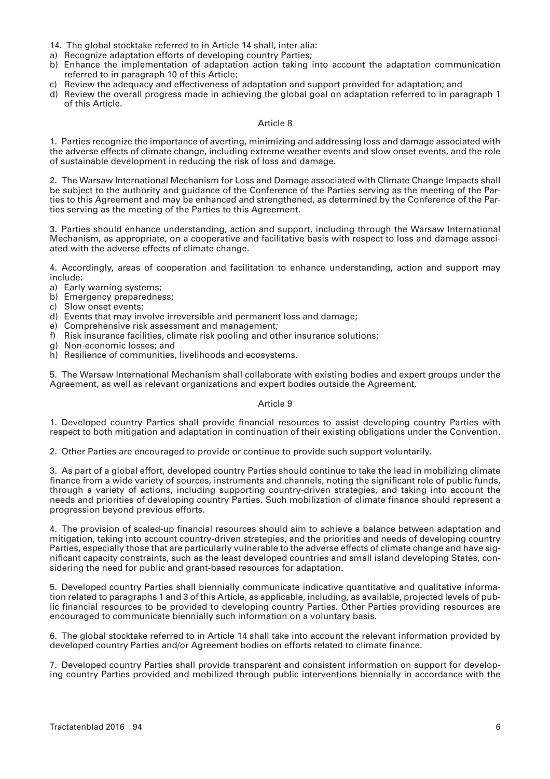- 14. The global stocktake referred to in Article 14 shall, inter alia:
- a) Recognize adaptation efforts of developing country Parties;
- b) Enhance the implementation of adaptation action taking into account the adaptation communication referred to in paragraph 10 of this Article;
- c) Review the adequacy and effectiveness of adaptation and support provided for adaptation; and
- d) Review the overall progress made in achieving the global goal on adaptation referred to in paragraph 1 of this Article.

# Article 8

1. Parties recognize the importance of averting, minimizing and addressing loss and damage associated with the adverse effects of climate change, including extreme weather events and slow onset events, and the role of sustainable development in reducing the risk of loss and damage.

2. The Warsaw International Mechanism for Loss and Damage associated with Climate Change Impacts shall be subject to the authority and guidance of the Conference of the Parties serving as the meeting of the Parties to this Agreement and may be enhanced and strengthened, as determined by the Conference of the Parties serving as the meeting of the Parties to this Agreement.

3. Parties should enhance understanding, action and support, including through the Warsaw International Mechanism, as appropriate, on a cooperative and facilitative basis with respect to loss and damage associated with the adverse effects of climate change.

4. Accordingly, areas of cooperation and facilitation to enhance understanding, action and support may include:

- a) Early warning systems;
- b) Emergency preparedness;
- c) Slow onset events;
- d) Events that may involve irreversible and permanent loss and damage;
- e) Comprehensive risk assessment and management;
- f) Risk insurance facilities, climate risk pooling and other insurance solutions;
- g) Non-economic losses; and
- h) Resilience of communities, livelihoods and ecosystems.

5. The Warsaw International Mechanism shall collaborate with existing bodies and expert groups under the Agreement, as well as relevant organizations and expert bodies outside the Agreement.

#### Article 9

1. Developed country Parties shall provide financial resources to assist developing country Parties with respect to both mitigation and adaptation in continuation of their existing obligations under the Convention.

2. Other Parties are encouraged to provide or continue to provide such support voluntarily.

3. As part of a global effort, developed country Parties should continue to take the lead in mobilizing climate finance from a wide variety of sources, instruments and channels, noting the significant role of public funds, through a variety of actions, including supporting country-driven strategies, and taking into account the needs and priorities of developing country Parties. Such mobilization of climate finance should represent a progression beyond previous efforts.

4. The provision of scaled-up financial resources should aim to achieve a balance between adaptation and mitigation, taking into account country-driven strategies, and the priorities and needs of developing country Parties, especially those that are particularly vulnerable to the adverse effects of climate change and have significant capacity constraints, such as the least developed countries and small island developing States, considering the need for public and grant-based resources for adaptation.

5. Developed country Parties shall biennially communicate indicative quantitative and qualitative information related to paragraphs 1 and 3 of this Article, as applicable, including, as available, projected levels of public financial resources to be provided to developing country Parties. Other Parties providing resources are encouraged to communicate biennially such information on a voluntary basis.

6. The global stocktake referred to in Article 14 shall take into account the relevant information provided by developed country Parties and/or Agreement bodies on efforts related to climate finance.

7. Developed country Parties shall provide transparent and consistent information on support for developing country Parties provided and mobilized through public interventions biennially in accordance with the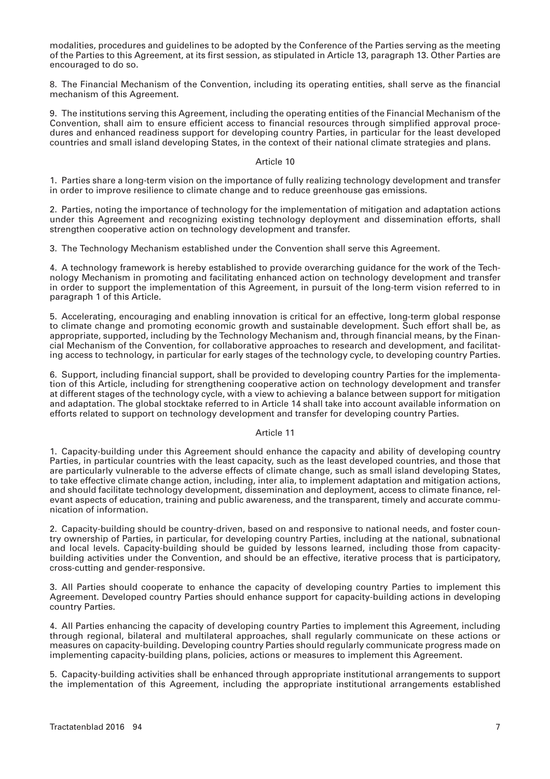modalities, procedures and guidelines to be adopted by the Conference of the Parties serving as the meeting of the Parties to this Agreement, at its first session, as stipulated in Article 13, paragraph 13. Other Parties are encouraged to do so.

8. The Financial Mechanism of the Convention, including its operating entities, shall serve as the financial mechanism of this Agreement.

9. The institutions serving this Agreement, including the operating entities of the Financial Mechanism of the Convention, shall aim to ensure efficient access to financial resources through simplified approval procedures and enhanced readiness support for developing country Parties, in particular for the least developed countries and small island developing States, in the context of their national climate strategies and plans.

# Article 10

1. Parties share a long-term vision on the importance of fully realizing technology development and transfer in order to improve resilience to climate change and to reduce greenhouse gas emissions.

2. Parties, noting the importance of technology for the implementation of mitigation and adaptation actions under this Agreement and recognizing existing technology deployment and dissemination efforts, shall strengthen cooperative action on technology development and transfer.

3. The Technology Mechanism established under the Convention shall serve this Agreement.

4. A technology framework is hereby established to provide overarching guidance for the work of the Technology Mechanism in promoting and facilitating enhanced action on technology development and transfer in order to support the implementation of this Agreement, in pursuit of the long-term vision referred to in paragraph 1 of this Article.

5. Accelerating, encouraging and enabling innovation is critical for an effective, long-term global response to climate change and promoting economic growth and sustainable development. Such effort shall be, as appropriate, supported, including by the Technology Mechanism and, through financial means, by the Financial Mechanism of the Convention, for collaborative approaches to research and development, and facilitating access to technology, in particular for early stages of the technology cycle, to developing country Parties.

6. Support, including financial support, shall be provided to developing country Parties for the implementation of this Article, including for strengthening cooperative action on technology development and transfer at different stages of the technology cycle, with a view to achieving a balance between support for mitigation and adaptation. The global stocktake referred to in Article 14 shall take into account available information on efforts related to support on technology development and transfer for developing country Parties.

#### Article 11

1. Capacity-building under this Agreement should enhance the capacity and ability of developing country Parties, in particular countries with the least capacity, such as the least developed countries, and those that are particularly vulnerable to the adverse effects of climate change, such as small island developing States, to take effective climate change action, including, inter alia, to implement adaptation and mitigation actions, and should facilitate technology development, dissemination and deployment, access to climate finance, relevant aspects of education, training and public awareness, and the transparent, timely and accurate communication of information.

2. Capacity-building should be country-driven, based on and responsive to national needs, and foster country ownership of Parties, in particular, for developing country Parties, including at the national, subnational and local levels. Capacity-building should be guided by lessons learned, including those from capacitybuilding activities under the Convention, and should be an effective, iterative process that is participatory, cross-cutting and gender-responsive.

3. All Parties should cooperate to enhance the capacity of developing country Parties to implement this Agreement. Developed country Parties should enhance support for capacity-building actions in developing country Parties.

4. All Parties enhancing the capacity of developing country Parties to implement this Agreement, including through regional, bilateral and multilateral approaches, shall regularly communicate on these actions or measures on capacity-building. Developing country Parties should regularly communicate progress made on implementing capacity-building plans, policies, actions or measures to implement this Agreement.

5. Capacity-building activities shall be enhanced through appropriate institutional arrangements to support the implementation of this Agreement, including the appropriate institutional arrangements established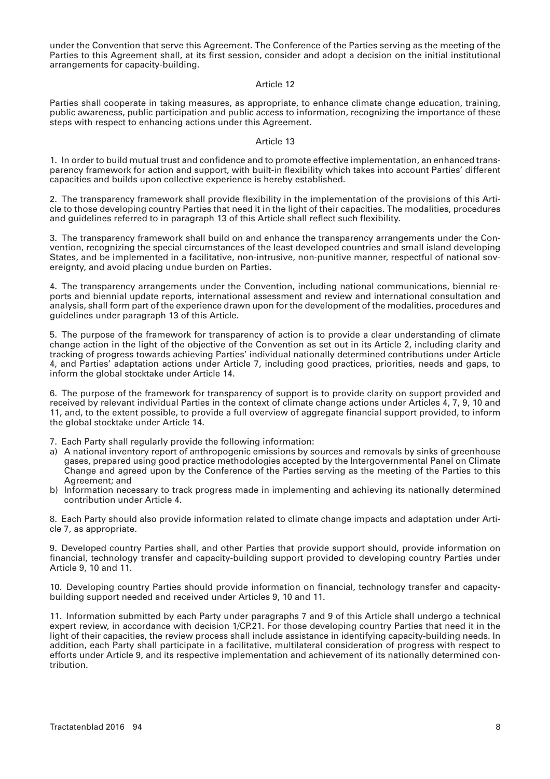under the Convention that serve this Agreement. The Conference of the Parties serving as the meeting of the Parties to this Agreement shall, at its first session, consider and adopt a decision on the initial institutional arrangements for capacity-building.

#### Article 12

Parties shall cooperate in taking measures, as appropriate, to enhance climate change education, training, public awareness, public participation and public access to information, recognizing the importance of these steps with respect to enhancing actions under this Agreement.

## Article 13

1. In order to build mutual trust and confidence and to promote effective implementation, an enhanced transparency framework for action and support, with built-in flexibility which takes into account Parties' different capacities and builds upon collective experience is hereby established.

2. The transparency framework shall provide flexibility in the implementation of the provisions of this Article to those developing country Parties that need it in the light of their capacities. The modalities, procedures and guidelines referred to in paragraph 13 of this Article shall reflect such flexibility.

3. The transparency framework shall build on and enhance the transparency arrangements under the Convention, recognizing the special circumstances of the least developed countries and small island developing States, and be implemented in a facilitative, non-intrusive, non-punitive manner, respectful of national sovereignty, and avoid placing undue burden on Parties.

4. The transparency arrangements under the Convention, including national communications, biennial reports and biennial update reports, international assessment and review and international consultation and analysis, shall form part of the experience drawn upon for the development of the modalities, procedures and guidelines under paragraph 13 of this Article.

5. The purpose of the framework for transparency of action is to provide a clear understanding of climate change action in the light of the objective of the Convention as set out in its Article 2, including clarity and tracking of progress towards achieving Parties' individual nationally determined contributions under Article 4, and Parties' adaptation actions under Article 7, including good practices, priorities, needs and gaps, to inform the global stocktake under Article 14.

6. The purpose of the framework for transparency of support is to provide clarity on support provided and received by relevant individual Parties in the context of climate change actions under Articles 4, 7, 9, 10 and 11, and, to the extent possible, to provide a full overview of aggregate financial support provided, to inform the global stocktake under Article 14.

- 7. Each Party shall regularly provide the following information:
- a) A national inventory report of anthropogenic emissions by sources and removals by sinks of greenhouse gases, prepared using good practice methodologies accepted by the Intergovernmental Panel on Climate Change and agreed upon by the Conference of the Parties serving as the meeting of the Parties to this Agreement; and
- b) Information necessary to track progress made in implementing and achieving its nationally determined contribution under Article 4.

8. Each Party should also provide information related to climate change impacts and adaptation under Article 7, as appropriate.

9. Developed country Parties shall, and other Parties that provide support should, provide information on financial, technology transfer and capacity-building support provided to developing country Parties under Article 9, 10 and 11.

10. Developing country Parties should provide information on financial, technology transfer and capacitybuilding support needed and received under Articles 9, 10 and 11.

11. Information submitted by each Party under paragraphs 7 and 9 of this Article shall undergo a technical expert review, in accordance with decision 1/CP.21. For those developing country Parties that need it in the light of their capacities, the review process shall include assistance in identifying capacity-building needs. In addition, each Party shall participate in a facilitative, multilateral consideration of progress with respect to efforts under Article 9, and its respective implementation and achievement of its nationally determined contribution.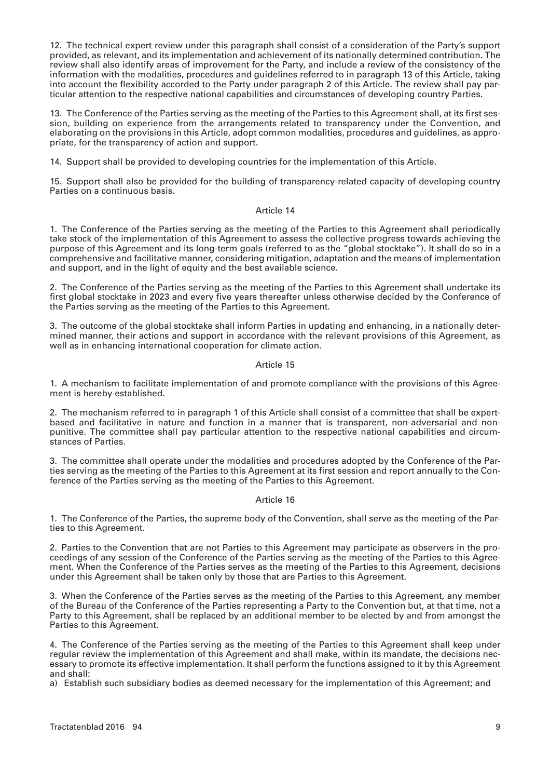12. The technical expert review under this paragraph shall consist of a consideration of the Party's support provided, as relevant, and its implementation and achievement of its nationally determined contribution. The review shall also identify areas of improvement for the Party, and include a review of the consistency of the information with the modalities, procedures and guidelines referred to in paragraph 13 of this Article, taking into account the flexibility accorded to the Party under paragraph 2 of this Article. The review shall pay particular attention to the respective national capabilities and circumstances of developing country Parties.

13. The Conference of the Parties serving as the meeting of the Parties to this Agreement shall, at its first session, building on experience from the arrangements related to transparency under the Convention, and elaborating on the provisions in this Article, adopt common modalities, procedures and guidelines, as appropriate, for the transparency of action and support.

14. Support shall be provided to developing countries for the implementation of this Article.

15. Support shall also be provided for the building of transparency-related capacity of developing country Parties on a continuous basis.

## Article 14

1. The Conference of the Parties serving as the meeting of the Parties to this Agreement shall periodically take stock of the implementation of this Agreement to assess the collective progress towards achieving the purpose of this Agreement and its long-term goals (referred to as the "global stocktake"). It shall do so in a comprehensive and facilitative manner, considering mitigation, adaptation and the means of implementation and support, and in the light of equity and the best available science.

2. The Conference of the Parties serving as the meeting of the Parties to this Agreement shall undertake its first global stocktake in 2023 and every five years thereafter unless otherwise decided by the Conference of the Parties serving as the meeting of the Parties to this Agreement.

3. The outcome of the global stocktake shall inform Parties in updating and enhancing, in a nationally determined manner, their actions and support in accordance with the relevant provisions of this Agreement, as well as in enhancing international cooperation for climate action.

# Article 15

1. A mechanism to facilitate implementation of and promote compliance with the provisions of this Agreement is hereby established.

2. The mechanism referred to in paragraph 1 of this Article shall consist of a committee that shall be expertbased and facilitative in nature and function in a manner that is transparent, non-adversarial and nonpunitive. The committee shall pay particular attention to the respective national capabilities and circumstances of Parties.

3. The committee shall operate under the modalities and procedures adopted by the Conference of the Parties serving as the meeting of the Parties to this Agreement at its first session and report annually to the Conference of the Parties serving as the meeting of the Parties to this Agreement.

# Article 16

1. The Conference of the Parties, the supreme body of the Convention, shall serve as the meeting of the Parties to this Agreement.

2. Parties to the Convention that are not Parties to this Agreement may participate as observers in the proceedings of any session of the Conference of the Parties serving as the meeting of the Parties to this Agreement. When the Conference of the Parties serves as the meeting of the Parties to this Agreement, decisions under this Agreement shall be taken only by those that are Parties to this Agreement.

3. When the Conference of the Parties serves as the meeting of the Parties to this Agreement, any member of the Bureau of the Conference of the Parties representing a Party to the Convention but, at that time, not a Party to this Agreement, shall be replaced by an additional member to be elected by and from amongst the Parties to this Agreement.

4. The Conference of the Parties serving as the meeting of the Parties to this Agreement shall keep under regular review the implementation of this Agreement and shall make, within its mandate, the decisions necessary to promote its effective implementation. It shall perform the functions assigned to it by this Agreement and shall:

a) Establish such subsidiary bodies as deemed necessary for the implementation of this Agreement; and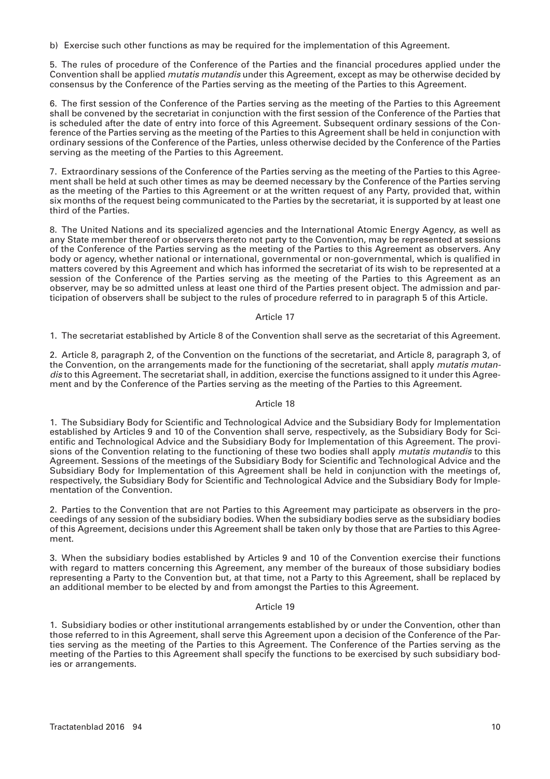b) Exercise such other functions as may be required for the implementation of this Agreement.

5. The rules of procedure of the Conference of the Parties and the financial procedures applied under the Convention shall be applied *mutatis mutandis* under this Agreement, except as may be otherwise decided by consensus by the Conference of the Parties serving as the meeting of the Parties to this Agreement.

6. The first session of the Conference of the Parties serving as the meeting of the Parties to this Agreement shall be convened by the secretariat in conjunction with the first session of the Conference of the Parties that is scheduled after the date of entry into force of this Agreement. Subsequent ordinary sessions of the Conference of the Parties serving as the meeting of the Parties to this Agreement shall be held in conjunction with ordinary sessions of the Conference of the Parties, unless otherwise decided by the Conference of the Parties serving as the meeting of the Parties to this Agreement.

7. Extraordinary sessions of the Conference of the Parties serving as the meeting of the Parties to this Agreement shall be held at such other times as may be deemed necessary by the Conference of the Parties serving as the meeting of the Parties to this Agreement or at the written request of any Party, provided that, within six months of the request being communicated to the Parties by the secretariat, it is supported by at least one third of the Parties.

8. The United Nations and its specialized agencies and the International Atomic Energy Agency, as well as any State member thereof or observers thereto not party to the Convention, may be represented at sessions of the Conference of the Parties serving as the meeting of the Parties to this Agreement as observers. Any body or agency, whether national or international, governmental or non-governmental, which is qualified in matters covered by this Agreement and which has informed the secretariat of its wish to be represented at a session of the Conference of the Parties serving as the meeting of the Parties to this Agreement as an observer, may be so admitted unless at least one third of the Parties present object. The admission and participation of observers shall be subject to the rules of procedure referred to in paragraph 5 of this Article.

## Article 17

1. The secretariat established by Article 8 of the Convention shall serve as the secretariat of this Agreement.

2. Article 8, paragraph 2, of the Convention on the functions of the secretariat, and Article 8, paragraph 3, of the Convention, on the arrangements made for the functioning of the secretariat, shall apply *mutatis mutandis* to this Agreement. The secretariat shall, in addition, exercise the functions assigned to it under this Agreement and by the Conference of the Parties serving as the meeting of the Parties to this Agreement.

# Article 18

1. The Subsidiary Body for Scientific and Technological Advice and the Subsidiary Body for Implementation established by Articles 9 and 10 of the Convention shall serve, respectively, as the Subsidiary Body for Scientific and Technological Advice and the Subsidiary Body for Implementation of this Agreement. The provisions of the Convention relating to the functioning of these two bodies shall apply *mutatis mutandis* to this Agreement. Sessions of the meetings of the Subsidiary Body for Scientific and Technological Advice and the Subsidiary Body for Implementation of this Agreement shall be held in conjunction with the meetings of, respectively, the Subsidiary Body for Scientific and Technological Advice and the Subsidiary Body for Implementation of the Convention.

2. Parties to the Convention that are not Parties to this Agreement may participate as observers in the proceedings of any session of the subsidiary bodies. When the subsidiary bodies serve as the subsidiary bodies of this Agreement, decisions under this Agreement shall be taken only by those that are Parties to this Agreement.

3. When the subsidiary bodies established by Articles 9 and 10 of the Convention exercise their functions with regard to matters concerning this Agreement, any member of the bureaux of those subsidiary bodies representing a Party to the Convention but, at that time, not a Party to this Agreement, shall be replaced by an additional member to be elected by and from amongst the Parties to this Agreement.

#### Article 19

1. Subsidiary bodies or other institutional arrangements established by or under the Convention, other than those referred to in this Agreement, shall serve this Agreement upon a decision of the Conference of the Parties serving as the meeting of the Parties to this Agreement. The Conference of the Parties serving as the meeting of the Parties to this Agreement shall specify the functions to be exercised by such subsidiary bodies or arrangements.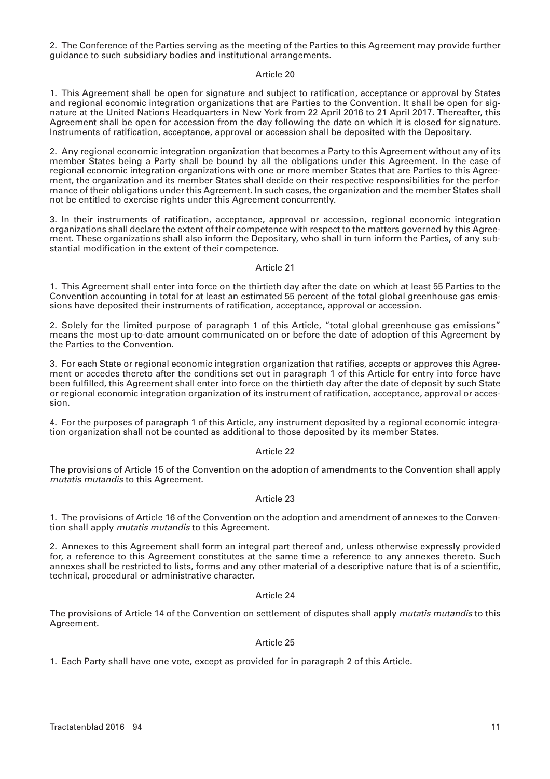2. The Conference of the Parties serving as the meeting of the Parties to this Agreement may provide further guidance to such subsidiary bodies and institutional arrangements.

# Article 20

1. This Agreement shall be open for signature and subject to ratification, acceptance or approval by States and regional economic integration organizations that are Parties to the Convention. It shall be open for signature at the United Nations Headquarters in New York from 22 April 2016 to 21 April 2017. Thereafter, this Agreement shall be open for accession from the day following the date on which it is closed for signature. Instruments of ratification, acceptance, approval or accession shall be deposited with the Depositary.

2. Any regional economic integration organization that becomes a Party to this Agreement without any of its member States being a Party shall be bound by all the obligations under this Agreement. In the case of regional economic integration organizations with one or more member States that are Parties to this Agreement, the organization and its member States shall decide on their respective responsibilities for the performance of their obligations under this Agreement. In such cases, the organization and the member States shall not be entitled to exercise rights under this Agreement concurrently.

3. In their instruments of ratification, acceptance, approval or accession, regional economic integration organizations shall declare the extent of their competence with respect to the matters governed by this Agreement. These organizations shall also inform the Depositary, who shall in turn inform the Parties, of any substantial modification in the extent of their competence.

## Article 21

1. This Agreement shall enter into force on the thirtieth day after the date on which at least 55 Parties to the Convention accounting in total for at least an estimated 55 percent of the total global greenhouse gas emissions have deposited their instruments of ratification, acceptance, approval or accession.

2. Solely for the limited purpose of paragraph 1 of this Article, "total global greenhouse gas emissions" means the most up-to-date amount communicated on or before the date of adoption of this Agreement by the Parties to the Convention.

3. For each State or regional economic integration organization that ratifies, accepts or approves this Agreement or accedes thereto after the conditions set out in paragraph 1 of this Article for entry into force have been fulfilled, this Agreement shall enter into force on the thirtieth day after the date of deposit by such State or regional economic integration organization of its instrument of ratification, acceptance, approval or accession.

4. For the purposes of paragraph 1 of this Article, any instrument deposited by a regional economic integration organization shall not be counted as additional to those deposited by its member States.

#### Article 22

The provisions of Article 15 of the Convention on the adoption of amendments to the Convention shall apply *mutatis mutandis* to this Agreement.

# Article 23

1. The provisions of Article 16 of the Convention on the adoption and amendment of annexes to the Convention shall apply *mutatis mutandis* to this Agreement.

2. Annexes to this Agreement shall form an integral part thereof and, unless otherwise expressly provided for, a reference to this Agreement constitutes at the same time a reference to any annexes thereto. Such annexes shall be restricted to lists, forms and any other material of a descriptive nature that is of a scientific, technical, procedural or administrative character.

## Article 24

The provisions of Article 14 of the Convention on settlement of disputes shall apply *mutatis mutandis* to this Agreement.

# Article 25

1. Each Party shall have one vote, except as provided for in paragraph 2 of this Article.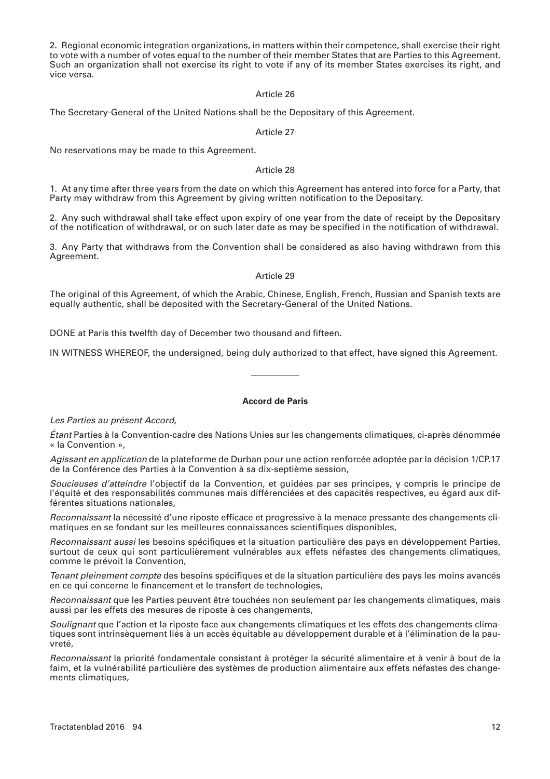2. Regional economic integration organizations, in matters within their competence, shall exercise their right to vote with a number of votes equal to the number of their member States that are Parties to this Agreement. Such an organization shall not exercise its right to vote if any of its member States exercises its right, and vice versa.

## Article 26

The Secretary-General of the United Nations shall be the Depositary of this Agreement.

#### Article 27

No reservations may be made to this Agreement.

#### Article 28

1. At any time after three years from the date on which this Agreement has entered into force for a Party, that Party may withdraw from this Agreement by giving written notification to the Depositary.

2. Any such withdrawal shall take effect upon expiry of one year from the date of receipt by the Depositary of the notification of withdrawal, or on such later date as may be specified in the notification of withdrawal.

3. Any Party that withdraws from the Convention shall be considered as also having withdrawn from this Agreement.

#### Article 29

The original of this Agreement, of which the Arabic, Chinese, English, French, Russian and Spanish texts are equally authentic, shall be deposited with the Secretary-General of the United Nations.

DONE at Paris this twelfth day of December two thousand and fifteen.

IN WITNESS WHEREOF, the undersigned, being duly authorized to that effect, have signed this Agreement.

# **Accord de Paris**

#### *Les Parties au présent Accord,*

*Étant* Parties à la Convention-cadre des Nations Unies sur les changements climatiques, ci-après dénommée « la Convention »,

*Agissant en application* de la plateforme de Durban pour une action renforcée adoptée par la décision 1/CP.17 de la Conférence des Parties à la Convention à sa dix-septième session,

*Soucieuses d'atteindre* l'objectif de la Convention, et guidées par ses principes, y compris le principe de l'équité et des responsabilités communes mais différenciées et des capacités respectives, eu égard aux différentes situations nationales,

*Reconnaissant* la nécessité d'une riposte efficace et progressive à la menace pressante des changements climatiques en se fondant sur les meilleures connaissances scientifiques disponibles,

*Reconnaissant aussi* les besoins spécifiques et la situation particulière des pays en développement Parties, surtout de ceux qui sont particulièrement vulnérables aux effets néfastes des changements climatiques, comme le prévoit la Convention,

*Tenant pleinement compte* des besoins spécifiques et de la situation particulière des pays les moins avancés en ce qui concerne le financement et le transfert de technologies,

*Reconnaissant* que les Parties peuvent être touchées non seulement par les changements climatiques, mais aussi par les effets des mesures de riposte à ces changements,

*Soulignant* que l'action et la riposte face aux changements climatiques et les effets des changements climatiques sont intrinsèquement liés à un accès équitable au développement durable et à l'élimination de la pauvreté,

*Reconnaissant* la priorité fondamentale consistant à protéger la sécurité alimentaire et à venir à bout de la faim, et la vulnérabilité particulière des systèmes de production alimentaire aux effets néfastes des changements climatiques,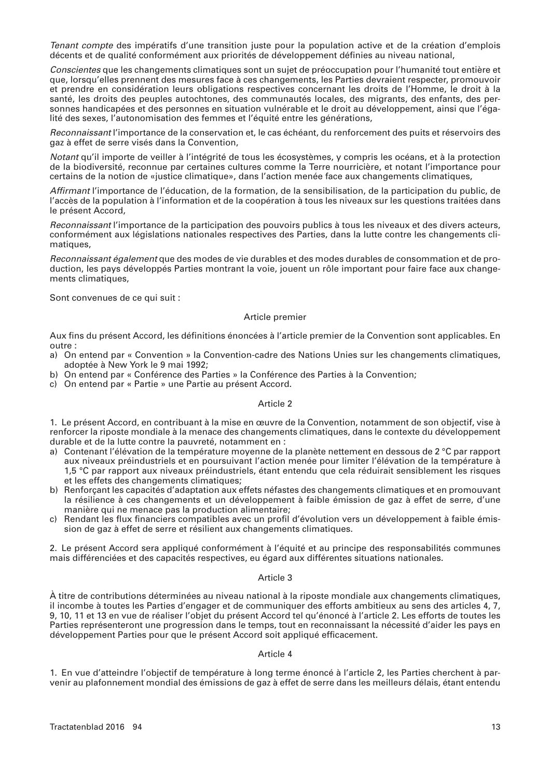*Tenant compte* des impératifs d'une transition juste pour la population active et de la création d'emplois décents et de qualité conformément aux priorités de développement définies au niveau national,

*Conscientes* que les changements climatiques sont un sujet de préoccupation pour l'humanité tout entière et que, lorsqu'elles prennent des mesures face à ces changements, les Parties devraient respecter, promouvoir et prendre en considération leurs obligations respectives concernant les droits de l'Homme, le droit à la santé, les droits des peuples autochtones, des communautés locales, des migrants, des enfants, des personnes handicapées et des personnes en situation vulnérable et le droit au développement, ainsi que l'égalité des sexes, l'autonomisation des femmes et l'équité entre les générations,

*Reconnaissant* l'importance de la conservation et, le cas échéant, du renforcement des puits et réservoirs des gaz à effet de serre visés dans la Convention,

*Notant* qu'il importe de veiller à l'intégrité de tous les écosystèmes, y compris les océans, et à la protection de la biodiversité, reconnue par certaines cultures comme la Terre nourricière, et notant l'importance pour certains de la notion de «justice climatique», dans l'action menée face aux changements climatiques,

*Affirmant* l'importance de l'éducation, de la formation, de la sensibilisation, de la participation du public, de l'accès de la population à l'information et de la coopération à tous les niveaux sur les questions traitées dans le présent Accord,

*Reconnaissant* l'importance de la participation des pouvoirs publics à tous les niveaux et des divers acteurs, conformément aux législations nationales respectives des Parties, dans la lutte contre les changements climatiques,

*Reconnaissant également* que des modes de vie durables et des modes durables de consommation et de production, les pays développés Parties montrant la voie, jouent un rôle important pour faire face aux changements climatiques,

Sont convenues de ce qui suit :

## Article premier

Aux fins du présent Accord, les définitions énoncées à l'article premier de la Convention sont applicables. En outre :

- a) On entend par « Convention » la Convention-cadre des Nations Unies sur les changements climatiques, adoptée à New York le 9 mai 1992;
- b) On entend par « Conférence des Parties » la Conférence des Parties à la Convention;
- c) On entend par « Partie » une Partie au présent Accord.

# Article 2

1. Le présent Accord, en contribuant à la mise en œuvre de la Convention, notamment de son objectif, vise à renforcer la riposte mondiale à la menace des changements climatiques, dans le contexte du développement durable et de la lutte contre la pauvreté, notamment en :

- a) Contenant l'élévation de la température moyenne de la planète nettement en dessous de 2 °C par rapport aux niveaux préindustriels et en poursuivant l'action menée pour limiter l'élévation de la température à 1,5 °C par rapport aux niveaux préindustriels, étant entendu que cela réduirait sensiblement les risques et les effets des changements climatiques;
- b) Renforçant les capacités d'adaptation aux effets néfastes des changements climatiques et en promouvant la résilience à ces changements et un développement à faible émission de gaz à effet de serre, d'une manière qui ne menace pas la production alimentaire;
- c) Rendant les flux financiers compatibles avec un profil d'évolution vers un développement à faible émission de gaz à effet de serre et résilient aux changements climatiques.

2. Le présent Accord sera appliqué conformément à l'équité et au principe des responsabilités communes mais différenciées et des capacités respectives, eu égard aux différentes situations nationales.

# Article 3

À titre de contributions déterminées au niveau national à la riposte mondiale aux changements climatiques, il incombe à toutes les Parties d'engager et de communiquer des efforts ambitieux au sens des articles 4, 7, 9, 10, 11 et 13 en vue de réaliser l'objet du présent Accord tel qu'énoncé à l'article 2. Les efforts de toutes les Parties représenteront une progression dans le temps, tout en reconnaissant la nécessité d'aider les pays en développement Parties pour que le présent Accord soit appliqué efficacement.

#### Article 4

1. En vue d'atteindre l'objectif de température à long terme énoncé à l'article 2, les Parties cherchent à parvenir au plafonnement mondial des émissions de gaz à effet de serre dans les meilleurs délais, étant entendu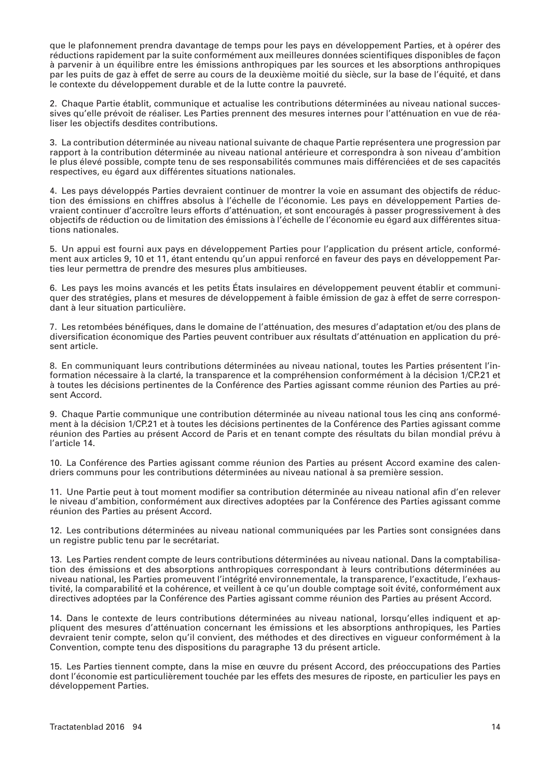que le plafonnement prendra davantage de temps pour les pays en développement Parties, et à opérer des réductions rapidement par la suite conformément aux meilleures données scientifiques disponibles de façon à parvenir à un équilibre entre les émissions anthropiques par les sources et les absorptions anthropiques par les puits de gaz à effet de serre au cours de la deuxième moitié du siècle, sur la base de l'équité, et dans le contexte du développement durable et de la lutte contre la pauvreté.

2. Chaque Partie établit, communique et actualise les contributions déterminées au niveau national successives qu'elle prévoit de réaliser. Les Parties prennent des mesures internes pour l'atténuation en vue de réaliser les objectifs desdites contributions.

3. La contribution déterminée au niveau national suivante de chaque Partie représentera une progression par rapport à la contribution déterminée au niveau national antérieure et correspondra à son niveau d'ambition le plus élevé possible, compte tenu de ses responsabilités communes mais différenciées et de ses capacités respectives, eu égard aux différentes situations nationales.

4. Les pays développés Parties devraient continuer de montrer la voie en assumant des objectifs de réduction des émissions en chiffres absolus à l'échelle de l'économie. Les pays en développement Parties devraient continuer d'accroître leurs efforts d'atténuation, et sont encouragés à passer progressivement à des objectifs de réduction ou de limitation des émissions à l'échelle de l'économie eu égard aux différentes situations nationales.

5. Un appui est fourni aux pays en développement Parties pour l'application du présent article, conformément aux articles 9, 10 et 11, étant entendu qu'un appui renforcé en faveur des pays en développement Parties leur permettra de prendre des mesures plus ambitieuses.

6. Les pays les moins avancés et les petits États insulaires en développement peuvent établir et communiquer des stratégies, plans et mesures de développement à faible émission de gaz à effet de serre correspondant à leur situation particulière.

7. Les retombées bénéfiques, dans le domaine de l'atténuation, des mesures d'adaptation et/ou des plans de diversification économique des Parties peuvent contribuer aux résultats d'atténuation en application du présent article.

8. En communiquant leurs contributions déterminées au niveau national, toutes les Parties présentent l'information nécessaire à la clarté, la transparence et la compréhension conformément à la décision 1/CP.21 et à toutes les décisions pertinentes de la Conférence des Parties agissant comme réunion des Parties au présent Accord.

9. Chaque Partie communique une contribution déterminée au niveau national tous les cinq ans conformément à la décision 1/CP.21 et à toutes les décisions pertinentes de la Conférence des Parties agissant comme réunion des Parties au présent Accord de Paris et en tenant compte des résultats du bilan mondial prévu à l'article 14.

10. La Conférence des Parties agissant comme réunion des Parties au présent Accord examine des calendriers communs pour les contributions déterminées au niveau national à sa première session.

11. Une Partie peut à tout moment modifier sa contribution déterminée au niveau national afin d'en relever le niveau d'ambition, conformément aux directives adoptées par la Conférence des Parties agissant comme réunion des Parties au présent Accord.

12. Les contributions déterminées au niveau national communiquées par les Parties sont consignées dans un registre public tenu par le secrétariat.

13. Les Parties rendent compte de leurs contributions déterminées au niveau national. Dans la comptabilisation des émissions et des absorptions anthropiques correspondant à leurs contributions déterminées au niveau national, les Parties promeuvent l'intégrité environnementale, la transparence, l'exactitude, l'exhaustivité, la comparabilité et la cohérence, et veillent à ce qu'un double comptage soit évité, conformément aux directives adoptées par la Conférence des Parties agissant comme réunion des Parties au présent Accord.

14. Dans le contexte de leurs contributions déterminées au niveau national, lorsqu'elles indiquent et appliquent des mesures d'atténuation concernant les émissions et les absorptions anthropiques, les Parties devraient tenir compte, selon qu'il convient, des méthodes et des directives en vigueur conformément à la Convention, compte tenu des dispositions du paragraphe 13 du présent article.

15. Les Parties tiennent compte, dans la mise en œuvre du présent Accord, des préoccupations des Parties dont l'économie est particulièrement touchée par les effets des mesures de riposte, en particulier les pays en développement Parties.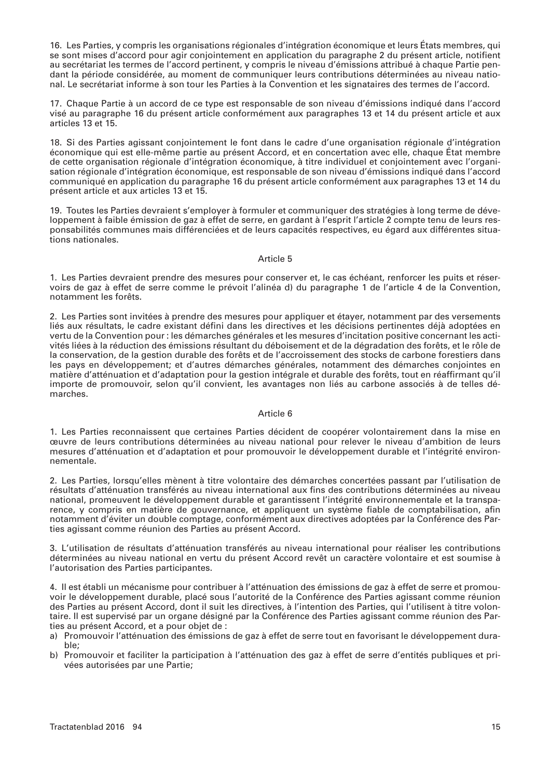16. Les Parties, y compris les organisations régionales d'intégration économique et leurs États membres, qui se sont mises d'accord pour agir conjointement en application du paragraphe 2 du présent article, notifient au secrétariat les termes de l'accord pertinent, y compris le niveau d'émissions attribué à chaque Partie pendant la période considérée, au moment de communiquer leurs contributions déterminées au niveau national. Le secrétariat informe à son tour les Parties à la Convention et les signataires des termes de l'accord.

17. Chaque Partie à un accord de ce type est responsable de son niveau d'émissions indiqué dans l'accord visé au paragraphe 16 du présent article conformément aux paragraphes 13 et 14 du présent article et aux articles 13 et 15.

18. Si des Parties agissant conjointement le font dans le cadre d'une organisation régionale d'intégration économique qui est elle-même partie au présent Accord, et en concertation avec elle, chaque État membre de cette organisation régionale d'intégration économique, à titre individuel et conjointement avec l'organisation régionale d'intégration économique, est responsable de son niveau d'émissions indiqué dans l'accord communiqué en application du paragraphe 16 du présent article conformément aux paragraphes 13 et 14 du présent article et aux articles 13 et 15.

19. Toutes les Parties devraient s'employer à formuler et communiquer des stratégies à long terme de développement à faible émission de gaz à effet de serre, en gardant à l'esprit l'article 2 compte tenu de leurs responsabilités communes mais différenciées et de leurs capacités respectives, eu égard aux différentes situations nationales.

#### Article 5

1. Les Parties devraient prendre des mesures pour conserver et, le cas échéant, renforcer les puits et réservoirs de gaz à effet de serre comme le prévoit l'alinéa d) du paragraphe 1 de l'article 4 de la Convention, notamment les forêts.

2. Les Parties sont invitées à prendre des mesures pour appliquer et étayer, notamment par des versements liés aux résultats, le cadre existant défini dans les directives et les décisions pertinentes déjà adoptées en vertu de la Convention pour : les démarches générales et les mesures d'incitation positive concernant les activités liées à la réduction des émissions résultant du déboisement et de la dégradation des forêts, et le rôle de la conservation, de la gestion durable des forêts et de l'accroissement des stocks de carbone forestiers dans les pays en développement; et d'autres démarches générales, notamment des démarches conjointes en matière d'atténuation et d'adaptation pour la gestion intégrale et durable des forêts, tout en réaffirmant qu'il importe de promouvoir, selon qu'il convient, les avantages non liés au carbone associés à de telles démarches.

#### Article 6

1. Les Parties reconnaissent que certaines Parties décident de coopérer volontairement dans la mise en œuvre de leurs contributions déterminées au niveau national pour relever le niveau d'ambition de leurs mesures d'atténuation et d'adaptation et pour promouvoir le développement durable et l'intégrité environnementale.

2. Les Parties, lorsqu'elles mènent à titre volontaire des démarches concertées passant par l'utilisation de résultats d'atténuation transférés au niveau international aux fins des contributions déterminées au niveau national, promeuvent le développement durable et garantissent l'intégrité environnementale et la transparence, y compris en matière de gouvernance, et appliquent un système fiable de comptabilisation, afin notamment d'éviter un double comptage, conformément aux directives adoptées par la Conférence des Parties agissant comme réunion des Parties au présent Accord.

3. L'utilisation de résultats d'atténuation transférés au niveau international pour réaliser les contributions déterminées au niveau national en vertu du présent Accord revêt un caractère volontaire et est soumise à l'autorisation des Parties participantes.

4. Il est établi un mécanisme pour contribuer à l'atténuation des émissions de gaz à effet de serre et promouvoir le développement durable, placé sous l'autorité de la Conférence des Parties agissant comme réunion des Parties au présent Accord, dont il suit les directives, à l'intention des Parties, qui l'utilisent à titre volontaire. Il est supervisé par un organe désigné par la Conférence des Parties agissant comme réunion des Parties au présent Accord, et a pour objet de :

- a) Promouvoir l'atténuation des émissions de gaz à effet de serre tout en favorisant le développement durable;
- b) Promouvoir et faciliter la participation à l'atténuation des gaz à effet de serre d'entités publiques et privées autorisées par une Partie;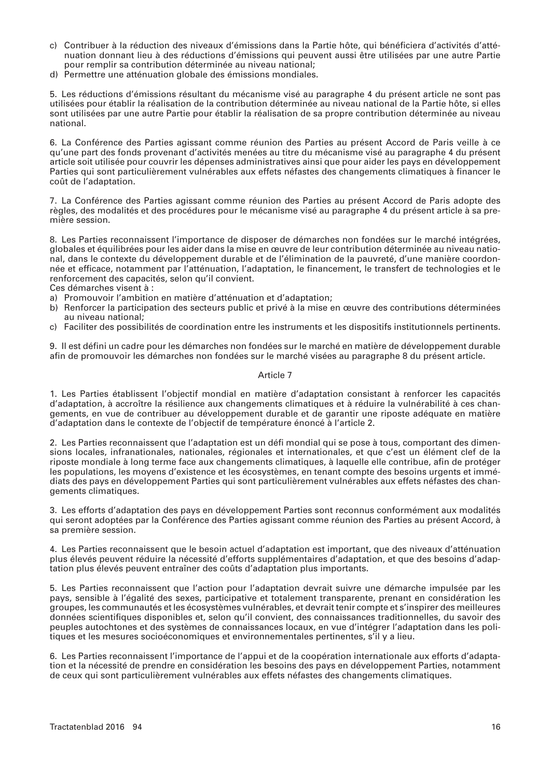- c) Contribuer à la réduction des niveaux d'émissions dans la Partie hôte, qui bénéficiera d'activités d'atténuation donnant lieu à des réductions d'émissions qui peuvent aussi être utilisées par une autre Partie pour remplir sa contribution déterminée au niveau national;
- d) Permettre une atténuation globale des émissions mondiales.

5. Les réductions d'émissions résultant du mécanisme visé au paragraphe 4 du présent article ne sont pas utilisées pour établir la réalisation de la contribution déterminée au niveau national de la Partie hôte, si elles sont utilisées par une autre Partie pour établir la réalisation de sa propre contribution déterminée au niveau national.

6. La Conférence des Parties agissant comme réunion des Parties au présent Accord de Paris veille à ce qu'une part des fonds provenant d'activités menées au titre du mécanisme visé au paragraphe 4 du présent article soit utilisée pour couvrir les dépenses administratives ainsi que pour aider les pays en développement Parties qui sont particulièrement vulnérables aux effets néfastes des changements climatiques à financer le coût de l'adaptation.

7. La Conférence des Parties agissant comme réunion des Parties au présent Accord de Paris adopte des règles, des modalités et des procédures pour le mécanisme visé au paragraphe 4 du présent article à sa première session.

8. Les Parties reconnaissent l'importance de disposer de démarches non fondées sur le marché intégrées, globales et équilibrées pour les aider dans la mise en œuvre de leur contribution déterminée au niveau national, dans le contexte du développement durable et de l'élimination de la pauvreté, d'une manière coordonnée et efficace, notamment par l'atténuation, l'adaptation, le financement, le transfert de technologies et le renforcement des capacités, selon qu'il convient.

Ces démarches visent à :

- a) Promouvoir l'ambition en matière d'atténuation et d'adaptation;
- b) Renforcer la participation des secteurs public et privé à la mise en œuvre des contributions déterminées au niveau national;
- c) Faciliter des possibilités de coordination entre les instruments et les dispositifs institutionnels pertinents.

9. Il est défini un cadre pour les démarches non fondées sur le marché en matière de développement durable afin de promouvoir les démarches non fondées sur le marché visées au paragraphe 8 du présent article.

## Article 7

1. Les Parties établissent l'objectif mondial en matière d'adaptation consistant à renforcer les capacités d'adaptation, à accroître la résilience aux changements climatiques et à réduire la vulnérabilité à ces changements, en vue de contribuer au développement durable et de garantir une riposte adéquate en matière d'adaptation dans le contexte de l'objectif de température énoncé à l'article 2.

2. Les Parties reconnaissent que l'adaptation est un défi mondial qui se pose à tous, comportant des dimensions locales, infranationales, nationales, régionales et internationales, et que c'est un élément clef de la riposte mondiale à long terme face aux changements climatiques, à laquelle elle contribue, afin de protéger les populations, les moyens d'existence et les écosystèmes, en tenant compte des besoins urgents et immédiats des pays en développement Parties qui sont particulièrement vulnérables aux effets néfastes des changements climatiques.

3. Les efforts d'adaptation des pays en développement Parties sont reconnus conformément aux modalités qui seront adoptées par la Conférence des Parties agissant comme réunion des Parties au présent Accord, à sa première session.

4. Les Parties reconnaissent que le besoin actuel d'adaptation est important, que des niveaux d'atténuation plus élevés peuvent réduire la nécessité d'efforts supplémentaires d'adaptation, et que des besoins d'adaptation plus élevés peuvent entraîner des coûts d'adaptation plus importants.

5. Les Parties reconnaissent que l'action pour l'adaptation devrait suivre une démarche impulsée par les pays, sensible à l'égalité des sexes, participative et totalement transparente, prenant en considération les groupes, les communautés et les écosystèmes vulnérables, et devrait tenir compte et s'inspirer des meilleures données scientifiques disponibles et, selon qu'il convient, des connaissances traditionnelles, du savoir des peuples autochtones et des systèmes de connaissances locaux, en vue d'intégrer l'adaptation dans les politiques et les mesures socioéconomiques et environnementales pertinentes, s'il y a lieu.

6. Les Parties reconnaissent l'importance de l'appui et de la coopération internationale aux efforts d'adaptation et la nécessité de prendre en considération les besoins des pays en développement Parties, notamment de ceux qui sont particulièrement vulnérables aux effets néfastes des changements climatiques.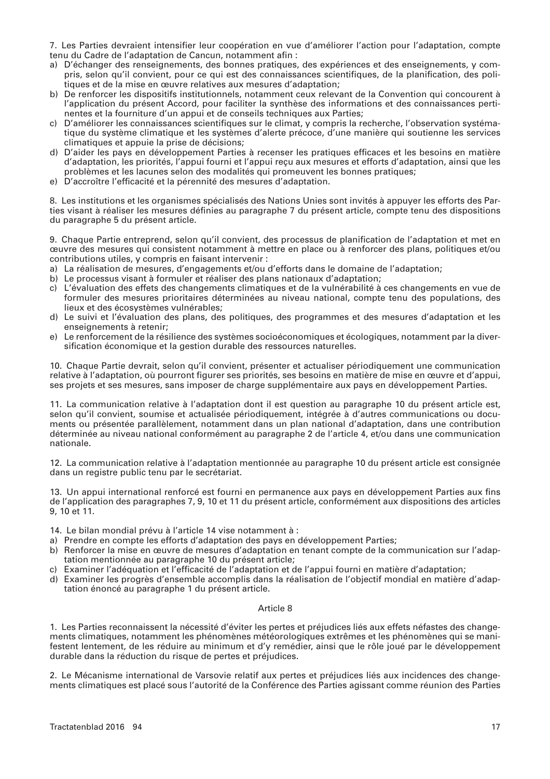7. Les Parties devraient intensifier leur coopération en vue d'améliorer l'action pour l'adaptation, compte tenu du Cadre de l'adaptation de Cancun, notamment afin :

- a) D'échanger des renseignements, des bonnes pratiques, des expériences et des enseignements, y compris, selon qu'il convient, pour ce qui est des connaissances scientifiques, de la planification, des politiques et de la mise en œuvre relatives aux mesures d'adaptation;
- b) De renforcer les dispositifs institutionnels, notamment ceux relevant de la Convention qui concourent à l'application du présent Accord, pour faciliter la synthèse des informations et des connaissances pertinentes et la fourniture d'un appui et de conseils techniques aux Parties;
- c) D'améliorer les connaissances scientifiques sur le climat, y compris la recherche, l'observation systématique du système climatique et les systèmes d'alerte précoce, d'une manière qui soutienne les services climatiques et appuie la prise de décisions;
- d) D'aider les pays en développement Parties à recenser les pratiques efficaces et les besoins en matière d'adaptation, les priorités, l'appui fourni et l'appui reçu aux mesures et efforts d'adaptation, ainsi que les problèmes et les lacunes selon des modalités qui promeuvent les bonnes pratiques:
- e) D'accroître l'efficacité et la pérennité des mesures d'adaptation.

8. Les institutions et les organismes spécialisés des Nations Unies sont invités à appuyer les efforts des Parties visant à réaliser les mesures définies au paragraphe 7 du présent article, compte tenu des dispositions du paragraphe 5 du présent article.

9. Chaque Partie entreprend, selon qu'il convient, des processus de planification de l'adaptation et met en œuvre des mesures qui consistent notamment à mettre en place ou à renforcer des plans, politiques et/ou contributions utiles, y compris en faisant intervenir :

- a) La réalisation de mesures, d'engagements et/ou d'efforts dans le domaine de l'adaptation;
- b) Le processus visant à formuler et réaliser des plans nationaux d'adaptation;
- c) L'évaluation des effets des changements climatiques et de la vulnérabilité à ces changements en vue de formuler des mesures prioritaires déterminées au niveau national, compte tenu des populations, des lieux et des écosystèmes vulnérables;
- d) Le suivi et l'évaluation des plans, des politiques, des programmes et des mesures d'adaptation et les enseignements à retenir;
- e) Le renforcement de la résilience des systèmes socioéconomiques et écologiques, notamment par la diversification économique et la gestion durable des ressources naturelles.

10. Chaque Partie devrait, selon qu'il convient, présenter et actualiser périodiquement une communication relative à l'adaptation, où pourront figurer ses priorités, ses besoins en matière de mise en œuvre et d'appui, ses projets et ses mesures, sans imposer de charge supplémentaire aux pays en développement Parties.

11. La communication relative à l'adaptation dont il est question au paragraphe 10 du présent article est, selon qu'il convient, soumise et actualisée périodiquement, intégrée à d'autres communications ou documents ou présentée parallèlement, notamment dans un plan national d'adaptation, dans une contribution déterminée au niveau national conformément au paragraphe 2 de l'article 4, et/ou dans une communication nationale.

12. La communication relative à l'adaptation mentionnée au paragraphe 10 du présent article est consignée dans un registre public tenu par le secrétariat.

13. Un appui international renforcé est fourni en permanence aux pays en développement Parties aux fins de l'application des paragraphes 7, 9, 10 et 11 du présent article, conformément aux dispositions des articles 9, 10 et 11.

- 14. Le bilan mondial prévu à l'article 14 vise notamment à :
- a) Prendre en compte les efforts d'adaptation des pays en développement Parties;
- b) Renforcer la mise en œuvre de mesures d'adaptation en tenant compte de la communication sur l'adaptation mentionnée au paragraphe 10 du présent article;
- c) Examiner l'adéquation et l'efficacité de l'adaptation et de l'appui fourni en matière d'adaptation;
- d) Examiner les progrès d'ensemble accomplis dans la réalisation de l'objectif mondial en matière d'adaptation énoncé au paragraphe 1 du présent article.

## Article 8

1. Les Parties reconnaissent la nécessité d'éviter les pertes et préjudices liés aux effets néfastes des changements climatiques, notamment les phénomènes météorologiques extrêmes et les phénomènes qui se manifestent lentement, de les réduire au minimum et d'y remédier, ainsi que le rôle joué par le développement durable dans la réduction du risque de pertes et préjudices.

2. Le Mécanisme international de Varsovie relatif aux pertes et préjudices liés aux incidences des changements climatiques est placé sous l'autorité de la Conférence des Parties agissant comme réunion des Parties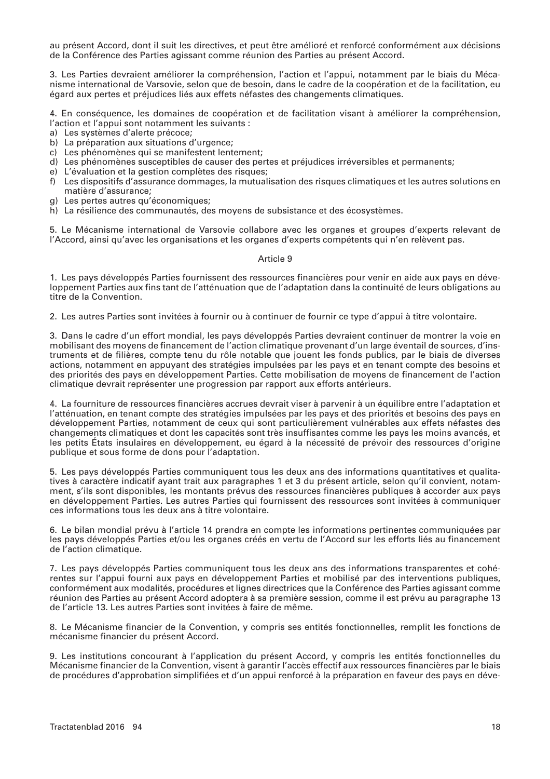au présent Accord, dont il suit les directives, et peut être amélioré et renforcé conformément aux décisions de la Conférence des Parties agissant comme réunion des Parties au présent Accord.

3. Les Parties devraient améliorer la compréhension, l'action et l'appui, notamment par le biais du Mécanisme international de Varsovie, selon que de besoin, dans le cadre de la coopération et de la facilitation, eu égard aux pertes et préjudices liés aux effets néfastes des changements climatiques.

4. En conséquence, les domaines de coopération et de facilitation visant à améliorer la compréhension, l'action et l'appui sont notamment les suivants :

- a) Les systèmes d'alerte précoce;
- b) La préparation aux situations d'urgence;
- c) Les phénomènes qui se manifestent lentement;
- d) Les phénomènes susceptibles de causer des pertes et préjudices irréversibles et permanents;
- e) L'évaluation et la gestion complètes des risques;
- f) Les dispositifs d'assurance dommages, la mutualisation des risques climatiques et les autres solutions en matière d'assurance;
- g) Les pertes autres qu'économiques;
- h) La résilience des communautés, des moyens de subsistance et des écosystèmes.

5. Le Mécanisme international de Varsovie collabore avec les organes et groupes d'experts relevant de l'Accord, ainsi qu'avec les organisations et les organes d'experts compétents qui n'en relèvent pas.

## Article 9

1. Les pays développés Parties fournissent des ressources financières pour venir en aide aux pays en développement Parties aux fins tant de l'atténuation que de l'adaptation dans la continuité de leurs obligations au titre de la Convention.

2. Les autres Parties sont invitées à fournir ou à continuer de fournir ce type d'appui à titre volontaire.

3. Dans le cadre d'un effort mondial, les pays développés Parties devraient continuer de montrer la voie en mobilisant des moyens de financement de l'action climatique provenant d'un large éventail de sources, d'instruments et de filières, compte tenu du rôle notable que jouent les fonds publics, par le biais de diverses actions, notamment en appuyant des stratégies impulsées par les pays et en tenant compte des besoins et des priorités des pays en développement Parties. Cette mobilisation de moyens de financement de l'action climatique devrait représenter une progression par rapport aux efforts antérieurs.

4. La fourniture de ressources financières accrues devrait viser à parvenir à un équilibre entre l'adaptation et l'atténuation, en tenant compte des stratégies impulsées par les pays et des priorités et besoins des pays en développement Parties, notamment de ceux qui sont particulièrement vulnérables aux effets néfastes des changements climatiques et dont les capacités sont très insuffisantes comme les pays les moins avancés, et les petits États insulaires en développement, eu égard à la nécessité de prévoir des ressources d'origine publique et sous forme de dons pour l'adaptation.

5. Les pays développés Parties communiquent tous les deux ans des informations quantitatives et qualitatives à caractère indicatif ayant trait aux paragraphes 1 et 3 du présent article, selon qu'il convient, notamment, s'ils sont disponibles, les montants prévus des ressources financières publiques à accorder aux pays en développement Parties. Les autres Parties qui fournissent des ressources sont invitées à communiquer ces informations tous les deux ans à titre volontaire.

6. Le bilan mondial prévu à l'article 14 prendra en compte les informations pertinentes communiquées par les pays développés Parties et/ou les organes créés en vertu de l'Accord sur les efforts liés au financement de l'action climatique.

7. Les pays développés Parties communiquent tous les deux ans des informations transparentes et cohérentes sur l'appui fourni aux pays en développement Parties et mobilisé par des interventions publiques, conformément aux modalités, procédures et lignes directrices que la Conférence des Parties agissant comme réunion des Parties au présent Accord adoptera à sa première session, comme il est prévu au paragraphe 13 de l'article 13. Les autres Parties sont invitées à faire de même.

8. Le Mécanisme financier de la Convention, y compris ses entités fonctionnelles, remplit les fonctions de mécanisme financier du présent Accord.

9. Les institutions concourant à l'application du présent Accord, y compris les entités fonctionnelles du Mécanisme financier de la Convention, visent à garantir l'accès effectif aux ressources financières par le biais de procédures d'approbation simplifiées et d'un appui renforcé à la préparation en faveur des pays en déve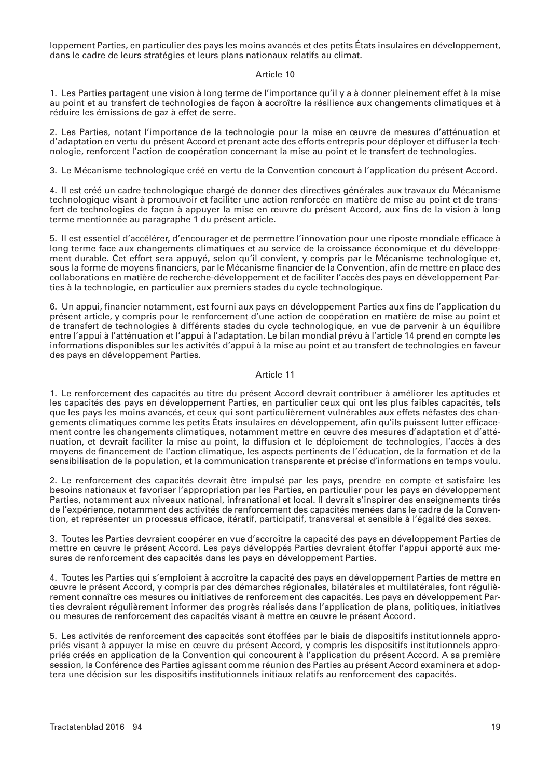loppement Parties, en particulier des pays les moins avancés et des petits États insulaires en développement, dans le cadre de leurs stratégies et leurs plans nationaux relatifs au climat.

# Article 10

1. Les Parties partagent une vision à long terme de l'importance qu'il y a à donner pleinement effet à la mise au point et au transfert de technologies de façon à accroître la résilience aux changements climatiques et à réduire les émissions de gaz à effet de serre.

2. Les Parties, notant l'importance de la technologie pour la mise en œuvre de mesures d'atténuation et d'adaptation en vertu du présent Accord et prenant acte des efforts entrepris pour déployer et diffuser la technologie, renforcent l'action de coopération concernant la mise au point et le transfert de technologies.

3. Le Mécanisme technologique créé en vertu de la Convention concourt à l'application du présent Accord.

4. Il est créé un cadre technologique chargé de donner des directives générales aux travaux du Mécanisme technologique visant à promouvoir et faciliter une action renforcée en matière de mise au point et de transfert de technologies de façon à appuyer la mise en œuvre du présent Accord, aux fins de la vision à long terme mentionnée au paragraphe 1 du présent article.

5. Il est essentiel d'accélérer, d'encourager et de permettre l'innovation pour une riposte mondiale efficace à long terme face aux changements climatiques et au service de la croissance économique et du développement durable. Cet effort sera appuyé, selon qu'il convient, y compris par le Mécanisme technologique et, sous la forme de moyens financiers, par le Mécanisme financier de la Convention, afin de mettre en place des collaborations en matière de recherche-développement et de faciliter l'accès des pays en développement Parties à la technologie, en particulier aux premiers stades du cycle technologique.

6. Un appui, financier notamment, est fourni aux pays en développement Parties aux fins de l'application du présent article, y compris pour le renforcement d'une action de coopération en matière de mise au point et de transfert de technologies à différents stades du cycle technologique, en vue de parvenir à un équilibre entre l'appui à l'atténuation et l'appui à l'adaptation. Le bilan mondial prévu à l'article 14 prend en compte les informations disponibles sur les activités d'appui à la mise au point et au transfert de technologies en faveur des pays en développement Parties.

#### Article 11

1. Le renforcement des capacités au titre du présent Accord devrait contribuer à améliorer les aptitudes et les capacités des pays en développement Parties, en particulier ceux qui ont les plus faibles capacités, tels que les pays les moins avancés, et ceux qui sont particulièrement vulnérables aux effets néfastes des changements climatiques comme les petits États insulaires en développement, afin qu'ils puissent lutter efficacement contre les changements climatiques, notamment mettre en œuvre des mesures d'adaptation et d'atténuation, et devrait faciliter la mise au point, la diffusion et le déploiement de technologies, l'accès à des moyens de financement de l'action climatique, les aspects pertinents de l'éducation, de la formation et de la sensibilisation de la population, et la communication transparente et précise d'informations en temps voulu.

2. Le renforcement des capacités devrait être impulsé par les pays, prendre en compte et satisfaire les besoins nationaux et favoriser l'appropriation par les Parties, en particulier pour les pays en développement Parties, notamment aux niveaux national, infranational et local. Il devrait s'inspirer des enseignements tirés de l'expérience, notamment des activités de renforcement des capacités menées dans le cadre de la Convention, et représenter un processus efficace, itératif, participatif, transversal et sensible à l'égalité des sexes.

3. Toutes les Parties devraient coopérer en vue d'accroître la capacité des pays en développement Parties de mettre en œuvre le présent Accord. Les pays développés Parties devraient étoffer l'appui apporté aux mesures de renforcement des capacités dans les pays en développement Parties.

4. Toutes les Parties qui s'emploient à accroître la capacité des pays en développement Parties de mettre en œuvre le présent Accord, y compris par des démarches régionales, bilatérales et multilatérales, font régulièrement connaître ces mesures ou initiatives de renforcement des capacités. Les pays en développement Parties devraient régulièrement informer des progrès réalisés dans l'application de plans, politiques, initiatives ou mesures de renforcement des capacités visant à mettre en œuvre le présent Accord.

5. Les activités de renforcement des capacités sont étoffées par le biais de dispositifs institutionnels appropriés visant à appuyer la mise en œuvre du présent Accord, y compris les dispositifs institutionnels appropriés créés en application de la Convention qui concourent à l'application du présent Accord. A sa première session, la Conférence des Parties agissant comme réunion des Parties au présent Accord examinera et adoptera une décision sur les dispositifs institutionnels initiaux relatifs au renforcement des capacités.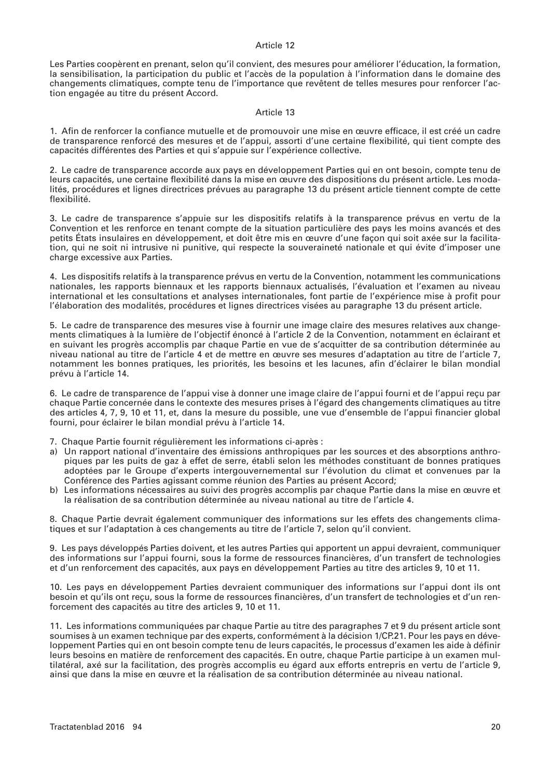# Article 12

Les Parties coopèrent en prenant, selon qu'il convient, des mesures pour améliorer l'éducation, la formation, la sensibilisation, la participation du public et l'accès de la population à l'information dans le domaine des changements climatiques, compte tenu de l'importance que revêtent de telles mesures pour renforcer l'action engagée au titre du présent Accord.

#### Article 13

1. Afin de renforcer la confiance mutuelle et de promouvoir une mise en œuvre efficace, il est créé un cadre de transparence renforcé des mesures et de l'appui, assorti d'une certaine flexibilité, qui tient compte des capacités différentes des Parties et qui s'appuie sur l'expérience collective.

2. Le cadre de transparence accorde aux pays en développement Parties qui en ont besoin, compte tenu de leurs capacités, une certaine flexibilité dans la mise en œuvre des dispositions du présent article. Les modalités, procédures et lignes directrices prévues au paragraphe 13 du présent article tiennent compte de cette flexibilité.

3. Le cadre de transparence s'appuie sur les dispositifs relatifs à la transparence prévus en vertu de la Convention et les renforce en tenant compte de la situation particulière des pays les moins avancés et des petits États insulaires en développement, et doit être mis en œuvre d'une façon qui soit axée sur la facilitation, qui ne soit ni intrusive ni punitive, qui respecte la souveraineté nationale et qui évite d'imposer une charge excessive aux Parties.

4. Les dispositifs relatifs à la transparence prévus en vertu de la Convention, notamment les communications nationales, les rapports biennaux et les rapports biennaux actualisés, l'évaluation et l'examen au niveau international et les consultations et analyses internationales, font partie de l'expérience mise à profit pour l'élaboration des modalités, procédures et lignes directrices visées au paragraphe 13 du présent article.

5. Le cadre de transparence des mesures vise à fournir une image claire des mesures relatives aux changements climatiques à la lumière de l'objectif énoncé à l'article 2 de la Convention, notamment en éclairant et en suivant les progrès accomplis par chaque Partie en vue de s'acquitter de sa contribution déterminée au niveau national au titre de l'article 4 et de mettre en œuvre ses mesures d'adaptation au titre de l'article 7, notamment les bonnes pratiques, les priorités, les besoins et les lacunes, afin d'éclairer le bilan mondial prévu à l'article 14.

6. Le cadre de transparence de l'appui vise à donner une image claire de l'appui fourni et de l'appui reçu par chaque Partie concernée dans le contexte des mesures prises à l'égard des changements climatiques au titre des articles 4, 7, 9, 10 et 11, et, dans la mesure du possible, une vue d'ensemble de l'appui financier global fourni, pour éclairer le bilan mondial prévu à l'article 14.

- 7. Chaque Partie fournit régulièrement les informations ci-après :
- a) Un rapport national d'inventaire des émissions anthropiques par les sources et des absorptions anthropiques par les puits de gaz à effet de serre, établi selon les méthodes constituant de bonnes pratiques adoptées par le Groupe d'experts intergouvernemental sur l'évolution du climat et convenues par la Conférence des Parties agissant comme réunion des Parties au présent Accord;
- b) Les informations nécessaires au suivi des progrès accomplis par chaque Partie dans la mise en œuvre et la réalisation de sa contribution déterminée au niveau national au titre de l'article 4.

8. Chaque Partie devrait également communiquer des informations sur les effets des changements climatiques et sur l'adaptation à ces changements au titre de l'article 7, selon qu'il convient.

9. Les pays développés Parties doivent, et les autres Parties qui apportent un appui devraient, communiquer des informations sur l'appui fourni, sous la forme de ressources financières, d'un transfert de technologies et d'un renforcement des capacités, aux pays en développement Parties au titre des articles 9, 10 et 11.

10. Les pays en développement Parties devraient communiquer des informations sur l'appui dont ils ont besoin et qu'ils ont reçu, sous la forme de ressources financières, d'un transfert de technologies et d'un renforcement des capacités au titre des articles 9, 10 et 11.

11. Les informations communiquées par chaque Partie au titre des paragraphes 7 et 9 du présent article sont soumises à un examen technique par des experts, conformément à la décision 1/CP.21. Pour les pays en développement Parties qui en ont besoin compte tenu de leurs capacités, le processus d'examen les aide à définir leurs besoins en matière de renforcement des capacités. En outre, chaque Partie participe à un examen multilatéral, axé sur la facilitation, des progrès accomplis eu égard aux efforts entrepris en vertu de l'article 9, ainsi que dans la mise en œuvre et la réalisation de sa contribution déterminée au niveau national.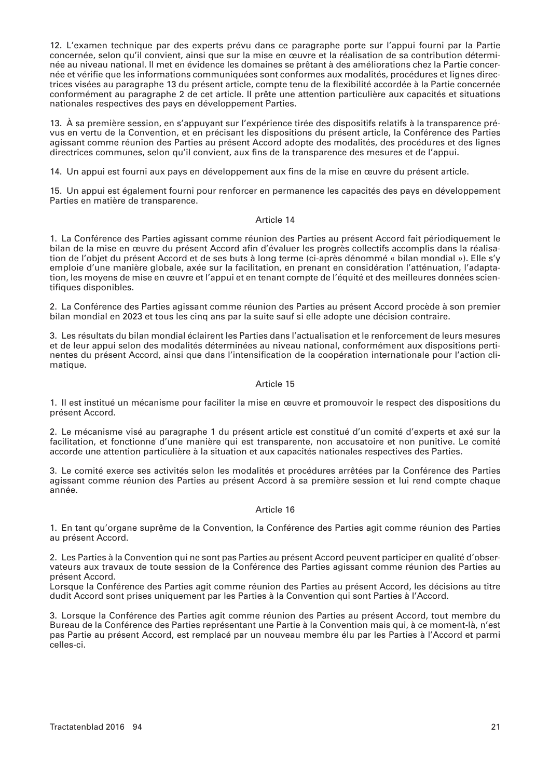12. L'examen technique par des experts prévu dans ce paragraphe porte sur l'appui fourni par la Partie concernée, selon qu'il convient, ainsi que sur la mise en œuvre et la réalisation de sa contribution déterminée au niveau national. Il met en évidence les domaines se prêtant à des améliorations chez la Partie concernée et vérifie que les informations communiquées sont conformes aux modalités, procédures et lignes directrices visées au paragraphe 13 du présent article, compte tenu de la flexibilité accordée à la Partie concernée conformément au paragraphe 2 de cet article. Il prête une attention particulière aux capacités et situations nationales respectives des pays en développement Parties.

13. À sa première session, en s'appuyant sur l'expérience tirée des dispositifs relatifs à la transparence prévus en vertu de la Convention, et en précisant les dispositions du présent article, la Conférence des Parties agissant comme réunion des Parties au présent Accord adopte des modalités, des procédures et des lignes directrices communes, selon qu'il convient, aux fins de la transparence des mesures et de l'appui.

14. Un appui est fourni aux pays en développement aux fins de la mise en œuvre du présent article.

15. Un appui est également fourni pour renforcer en permanence les capacités des pays en développement Parties en matière de transparence.

#### Article 14

1. La Conférence des Parties agissant comme réunion des Parties au présent Accord fait périodiquement le bilan de la mise en œuvre du présent Accord afin d'évaluer les progrès collectifs accomplis dans la réalisation de l'objet du présent Accord et de ses buts à long terme (ci-après dénommé « bilan mondial »). Elle s'y emploie d'une manière globale, axée sur la facilitation, en prenant en considération l'atténuation, l'adaptation, les moyens de mise en œuvre et l'appui et en tenant compte de l'équité et des meilleures données scientifiques disponibles.

2. La Conférence des Parties agissant comme réunion des Parties au présent Accord procède à son premier bilan mondial en 2023 et tous les cinq ans par la suite sauf si elle adopte une décision contraire.

3. Les résultats du bilan mondial éclairent les Parties dans l'actualisation et le renforcement de leurs mesures et de leur appui selon des modalités déterminées au niveau national, conformément aux dispositions pertinentes du présent Accord, ainsi que dans l'intensification de la coopération internationale pour l'action climatique.

# Article 15

1. Il est institué un mécanisme pour faciliter la mise en œuvre et promouvoir le respect des dispositions du présent Accord.

2. Le mécanisme visé au paragraphe 1 du présent article est constitué d'un comité d'experts et axé sur la facilitation, et fonctionne d'une manière qui est transparente, non accusatoire et non punitive. Le comité accorde une attention particulière à la situation et aux capacités nationales respectives des Parties.

3. Le comité exerce ses activités selon les modalités et procédures arrêtées par la Conférence des Parties agissant comme réunion des Parties au présent Accord à sa première session et lui rend compte chaque année.

# Article 16

1. En tant qu'organe suprême de la Convention, la Conférence des Parties agit comme réunion des Parties au présent Accord.

2. Les Parties à la Convention qui ne sont pas Parties au présent Accord peuvent participer en qualité d'observateurs aux travaux de toute session de la Conférence des Parties agissant comme réunion des Parties au présent Accord.

Lorsque la Conférence des Parties agit comme réunion des Parties au présent Accord, les décisions au titre dudit Accord sont prises uniquement par les Parties à la Convention qui sont Parties à l'Accord.

3. Lorsque la Conférence des Parties agit comme réunion des Parties au présent Accord, tout membre du Bureau de la Conférence des Parties représentant une Partie à la Convention mais qui, à ce moment-là, n'est pas Partie au présent Accord, est remplacé par un nouveau membre élu par les Parties à l'Accord et parmi celles-ci.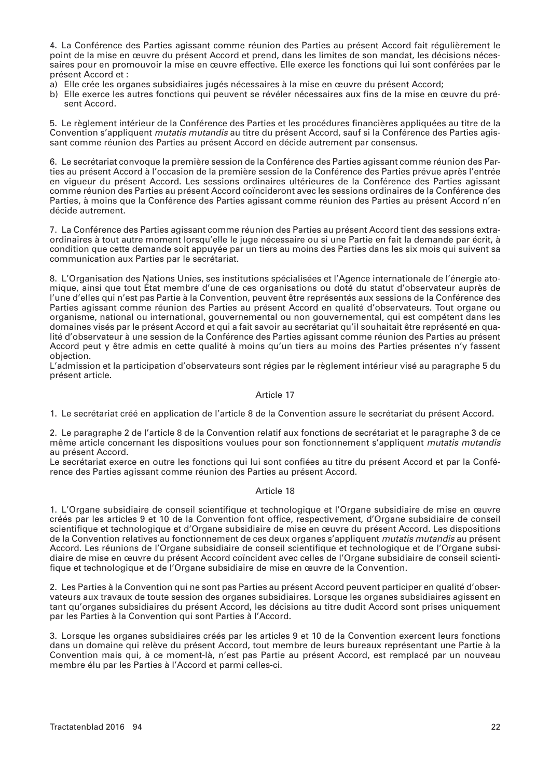4. La Conférence des Parties agissant comme réunion des Parties au présent Accord fait régulièrement le point de la mise en œuvre du présent Accord et prend, dans les limites de son mandat, les décisions nécessaires pour en promouvoir la mise en œuvre effective. Elle exerce les fonctions qui lui sont conférées par le présent Accord et :

- a) Elle crée les organes subsidiaires jugés nécessaires à la mise en œuvre du présent Accord;
- b) Elle exerce les autres fonctions qui peuvent se révéler nécessaires aux fins de la mise en œuvre du présent Accord.

5. Le règlement intérieur de la Conférence des Parties et les procédures financières appliquées au titre de la Convention s'appliquent *mutatis mutandis* au titre du présent Accord, sauf si la Conférence des Parties agissant comme réunion des Parties au présent Accord en décide autrement par consensus.

6. Le secrétariat convoque la première session de la Conférence des Parties agissant comme réunion des Parties au présent Accord à l'occasion de la première session de la Conférence des Parties prévue après l'entrée en vigueur du présent Accord. Les sessions ordinaires ultérieures de la Conférence des Parties agissant comme réunion des Parties au présent Accord coïncideront avec les sessions ordinaires de la Conférence des Parties, à moins que la Conférence des Parties agissant comme réunion des Parties au présent Accord n'en décide autrement.

7. La Conférence des Parties agissant comme réunion des Parties au présent Accord tient des sessions extraordinaires à tout autre moment lorsqu'elle le juge nécessaire ou si une Partie en fait la demande par écrit, à condition que cette demande soit appuyée par un tiers au moins des Parties dans les six mois qui suivent sa communication aux Parties par le secrétariat.

8. L'Organisation des Nations Unies, ses institutions spécialisées et l'Agence internationale de l'énergie atomique, ainsi que tout État membre d'une de ces organisations ou doté du statut d'observateur auprès de l'une d'elles qui n'est pas Partie à la Convention, peuvent être représentés aux sessions de la Conférence des Parties agissant comme réunion des Parties au présent Accord en qualité d'observateurs. Tout organe ou organisme, national ou international, gouvernemental ou non gouvernemental, qui est compétent dans les domaines visés par le présent Accord et qui a fait savoir au secrétariat qu'il souhaitait être représenté en qualité d'observateur à une session de la Conférence des Parties agissant comme réunion des Parties au présent Accord peut y être admis en cette qualité à moins qu'un tiers au moins des Parties présentes n'y fassent objection.

L'admission et la participation d'observateurs sont régies par le règlement intérieur visé au paragraphe 5 du présent article.

# Article 17

1. Le secrétariat créé en application de l'article 8 de la Convention assure le secrétariat du présent Accord.

2. Le paragraphe 2 de l'article 8 de la Convention relatif aux fonctions de secrétariat et le paragraphe 3 de ce même article concernant les dispositions voulues pour son fonctionnement s'appliquent *mutatis mutandis*  au présent Accord.

Le secrétariat exerce en outre les fonctions qui lui sont confiées au titre du présent Accord et par la Conférence des Parties agissant comme réunion des Parties au présent Accord.

# Article 18

1. L'Organe subsidiaire de conseil scientifique et technologique et l'Organe subsidiaire de mise en œuvre créés par les articles 9 et 10 de la Convention font office, respectivement, d'Organe subsidiaire de conseil scientifique et technologique et d'Organe subsidiaire de mise en œuvre du présent Accord. Les dispositions de la Convention relatives au fonctionnement de ces deux organes s'appliquent *mutatis mutandis* au présent Accord. Les réunions de l'Organe subsidiaire de conseil scientifique et technologique et de l'Organe subsidiaire de mise en œuvre du présent Accord coïncident avec celles de l'Organe subsidiaire de conseil scientifique et technologique et de l'Organe subsidiaire de mise en œuvre de la Convention.

2. Les Parties à la Convention qui ne sont pas Parties au présent Accord peuvent participer en qualité d'observateurs aux travaux de toute session des organes subsidiaires. Lorsque les organes subsidiaires agissent en tant qu'organes subsidiaires du présent Accord, les décisions au titre dudit Accord sont prises uniquement par les Parties à la Convention qui sont Parties à l'Accord.

3. Lorsque les organes subsidiaires créés par les articles 9 et 10 de la Convention exercent leurs fonctions dans un domaine qui relève du présent Accord, tout membre de leurs bureaux représentant une Partie à la Convention mais qui, à ce moment-là, n'est pas Partie au présent Accord, est remplacé par un nouveau membre élu par les Parties à l'Accord et parmi celles-ci.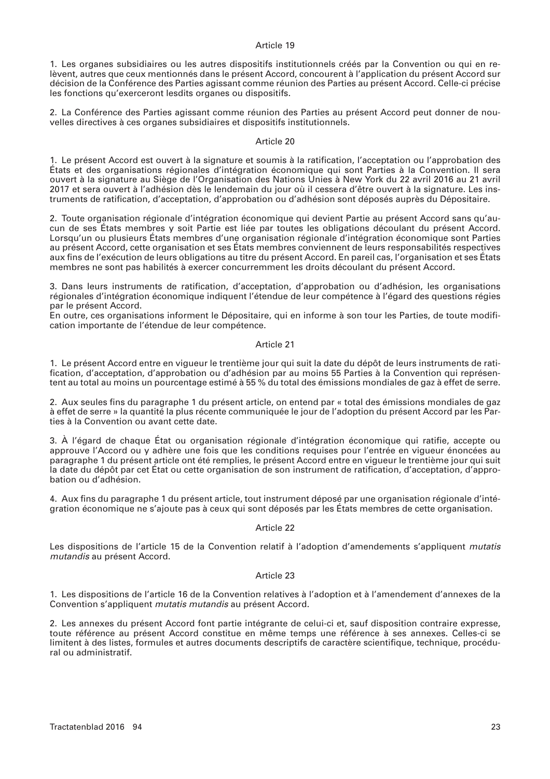## Article 19

1. Les organes subsidiaires ou les autres dispositifs institutionnels créés par la Convention ou qui en relèvent, autres que ceux mentionnés dans le présent Accord, concourent à l'application du présent Accord sur décision de la Conférence des Parties agissant comme réunion des Parties au présent Accord. Celle-ci précise les fonctions qu'exerceront lesdits organes ou dispositifs.

2. La Conférence des Parties agissant comme réunion des Parties au présent Accord peut donner de nouvelles directives à ces organes subsidiaires et dispositifs institutionnels.

#### Article 20

1. Le présent Accord est ouvert à la signature et soumis à la ratification, l'acceptation ou l'approbation des États et des organisations régionales d'intégration économique qui sont Parties à la Convention. Il sera ouvert à la signature au Siège de l'Organisation des Nations Unies à New York du 22 avril 2016 au 21 avril 2017 et sera ouvert à l'adhésion dès le lendemain du jour où il cessera d'être ouvert à la signature. Les instruments de ratification, d'acceptation, d'approbation ou d'adhésion sont déposés auprès du Dépositaire.

2. Toute organisation régionale d'intégration économique qui devient Partie au présent Accord sans qu'aucun de ses États membres y soit Partie est liée par toutes les obligations découlant du présent Accord. Lorsqu'un ou plusieurs États membres d'une organisation régionale d'intégration économique sont Parties au présent Accord, cette organisation et ses États membres conviennent de leurs responsabilités respectives aux fins de l'exécution de leurs obligations au titre du présent Accord. En pareil cas, l'organisation et ses États membres ne sont pas habilités à exercer concurremment les droits découlant du présent Accord.

3. Dans leurs instruments de ratification, d'acceptation, d'approbation ou d'adhésion, les organisations régionales d'intégration économique indiquent l'étendue de leur compétence à l'égard des questions régies par le présent Accord.

En outre, ces organisations informent le Dépositaire, qui en informe à son tour les Parties, de toute modification importante de l'étendue de leur compétence.

#### Article 21

1. Le présent Accord entre en vigueur le trentième jour qui suit la date du dépôt de leurs instruments de ratification, d'acceptation, d'approbation ou d'adhésion par au moins 55 Parties à la Convention qui représentent au total au moins un pourcentage estimé à 55 % du total des émissions mondiales de gaz à effet de serre.

2. Aux seules fins du paragraphe 1 du présent article, on entend par « total des émissions mondiales de gaz à effet de serre » la quantité la plus récente communiquée le jour de l'adoption du présent Accord par les Parties à la Convention ou avant cette date.

3. À l'égard de chaque État ou organisation régionale d'intégration économique qui ratifie, accepte ou approuve l'Accord ou y adhère une fois que les conditions requises pour l'entrée en vigueur énoncées au paragraphe 1 du présent article ont été remplies, le présent Accord entre en vigueur le trentième jour qui suit la date du dépôt par cet État ou cette organisation de son instrument de ratification, d'acceptation, d'approbation ou d'adhésion.

4. Aux fins du paragraphe 1 du présent article, tout instrument déposé par une organisation régionale d'intégration économique ne s'ajoute pas à ceux qui sont déposés par les États membres de cette organisation.

#### Article 22

Les dispositions de l'article 15 de la Convention relatif à l'adoption d'amendements s'appliquent *mutatis mutandis* au présent Accord.

#### Article 23

1. Les dispositions de l'article 16 de la Convention relatives à l'adoption et à l'amendement d'annexes de la Convention s'appliquent *mutatis mutandis* au présent Accord.

2. Les annexes du présent Accord font partie intégrante de celui-ci et, sauf disposition contraire expresse, toute référence au présent Accord constitue en même temps une référence à ses annexes. Celles-ci se limitent à des listes, formules et autres documents descriptifs de caractère scientifique, technique, procédural ou administratif.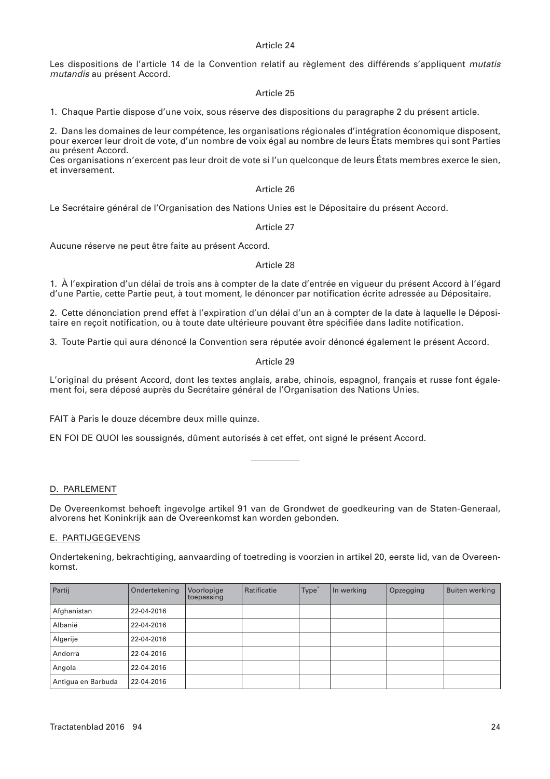# Article 24

Les dispositions de l'article 14 de la Convention relatif au règlement des différends s'appliquent *mutatis mutandis* au présent Accord.

#### Article 25

1. Chaque Partie dispose d'une voix, sous réserve des dispositions du paragraphe 2 du présent article.

2. Dans les domaines de leur compétence, les organisations régionales d'intégration économique disposent, pour exercer leur droit de vote, d'un nombre de voix égal au nombre de leurs États membres qui sont Parties au présent Accord.

Ces organisations n'exercent pas leur droit de vote si l'un quelconque de leurs États membres exerce le sien, et inversement.

## Article 26

Le Secrétaire général de l'Organisation des Nations Unies est le Dépositaire du présent Accord.

#### Article 27

Aucune réserve ne peut être faite au présent Accord.

## Article 28

1. À l'expiration d'un délai de trois ans à compter de la date d'entrée en vigueur du présent Accord à l'égard d'une Partie, cette Partie peut, à tout moment, le dénoncer par notification écrite adressée au Dépositaire.

2. Cette dénonciation prend effet à l'expiration d'un délai d'un an à compter de la date à laquelle le Dépositaire en reçoit notification, ou à toute date ultérieure pouvant être spécifiée dans ladite notification.

3. Toute Partie qui aura dénoncé la Convention sera réputée avoir dénoncé également le présent Accord.

## Article 29

L'original du présent Accord, dont les textes anglais, arabe, chinois, espagnol, français et russe font également foi, sera déposé auprès du Secrétaire général de l'Organisation des Nations Unies.

FAIT à Paris le douze décembre deux mille quinze.

EN FOI DE QUOI les soussignés, dûment autorisés à cet effet, ont signé le présent Accord.

# D. PARLEMENT

De Overeenkomst behoeft ingevolge artikel 91 van de Grondwet de goedkeuring van de Staten-Generaal, alvorens het Koninkrijk aan de Overeenkomst kan worden gebonden.

# E. PARTIJGEGEVENS

Ondertekening, bekrachtiging, aanvaarding of toetreding is voorzien in artikel 20, eerste lid, van de Overeenkomst.

| Partij             | Ondertekening | Voorlopige<br>toepassing | Ratificatie | Type <sup>®</sup> | In werking | Opzegging | Buiten werking |
|--------------------|---------------|--------------------------|-------------|-------------------|------------|-----------|----------------|
| Afghanistan        | 22-04-2016    |                          |             |                   |            |           |                |
| Albanië            | 22-04-2016    |                          |             |                   |            |           |                |
| Algerije           | 22-04-2016    |                          |             |                   |            |           |                |
| Andorra            | 22-04-2016    |                          |             |                   |            |           |                |
| Angola             | 22-04-2016    |                          |             |                   |            |           |                |
| Antigua en Barbuda | 22-04-2016    |                          |             |                   |            |           |                |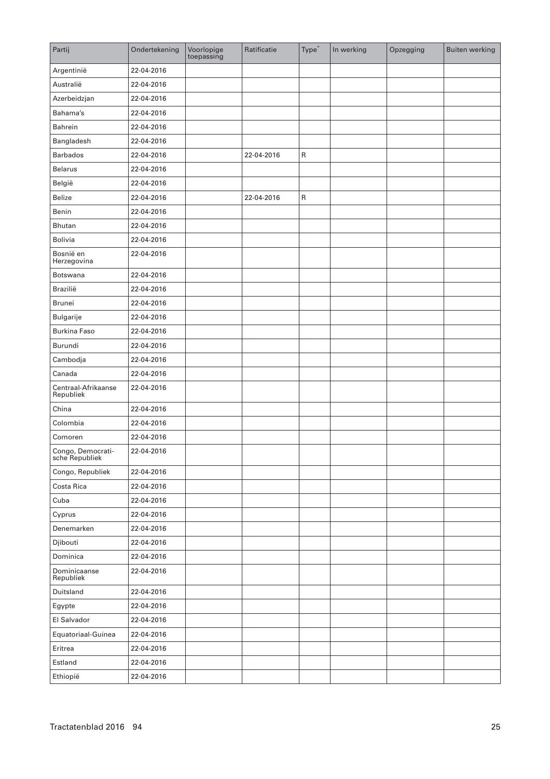| Partij                              | Ondertekening | Voorlopige<br>toepassing | Ratificatie | Type <sup>*</sup> | In werking | Opzegging | <b>Buiten werking</b> |
|-------------------------------------|---------------|--------------------------|-------------|-------------------|------------|-----------|-----------------------|
| Argentinië                          | 22-04-2016    |                          |             |                   |            |           |                       |
| Australië                           | 22-04-2016    |                          |             |                   |            |           |                       |
| Azerbeidzjan                        | 22-04-2016    |                          |             |                   |            |           |                       |
| Bahama's                            | 22-04-2016    |                          |             |                   |            |           |                       |
| Bahrein                             | 22-04-2016    |                          |             |                   |            |           |                       |
| Bangladesh                          | 22-04-2016    |                          |             |                   |            |           |                       |
| <b>Barbados</b>                     | 22-04-2016    |                          | 22-04-2016  | R                 |            |           |                       |
| <b>Belarus</b>                      | 22-04-2016    |                          |             |                   |            |           |                       |
| België                              | 22-04-2016    |                          |             |                   |            |           |                       |
| Belize                              | 22-04-2016    |                          | 22-04-2016  | R                 |            |           |                       |
| Benin                               | 22-04-2016    |                          |             |                   |            |           |                       |
| Bhutan                              | 22-04-2016    |                          |             |                   |            |           |                       |
| <b>Bolivia</b>                      | 22-04-2016    |                          |             |                   |            |           |                       |
| Bosnië en<br>Herzegovina            | 22-04-2016    |                          |             |                   |            |           |                       |
| Botswana                            | 22-04-2016    |                          |             |                   |            |           |                       |
| <b>Brazilië</b>                     | 22-04-2016    |                          |             |                   |            |           |                       |
| <b>Brunei</b>                       | 22-04-2016    |                          |             |                   |            |           |                       |
| Bulgarije                           | 22-04-2016    |                          |             |                   |            |           |                       |
| <b>Burkina Faso</b>                 | 22-04-2016    |                          |             |                   |            |           |                       |
| Burundi                             | 22-04-2016    |                          |             |                   |            |           |                       |
| Cambodja                            | 22-04-2016    |                          |             |                   |            |           |                       |
| Canada                              | 22-04-2016    |                          |             |                   |            |           |                       |
| Centraal-Afrikaanse<br>Republiek    | 22-04-2016    |                          |             |                   |            |           |                       |
| China                               | 22-04-2016    |                          |             |                   |            |           |                       |
| Colombia                            | 22-04-2016    |                          |             |                   |            |           |                       |
| Comoren                             | 22-04-2016    |                          |             |                   |            |           |                       |
| Congo, Democrati-<br>sche Republiek | 22-04-2016    |                          |             |                   |            |           |                       |
| Congo, Republiek                    | 22-04-2016    |                          |             |                   |            |           |                       |
| Costa Rica                          | 22-04-2016    |                          |             |                   |            |           |                       |
| Cuba                                | 22-04-2016    |                          |             |                   |            |           |                       |
| Cyprus                              | 22-04-2016    |                          |             |                   |            |           |                       |
| Denemarken                          | 22-04-2016    |                          |             |                   |            |           |                       |
| Djibouti                            | 22-04-2016    |                          |             |                   |            |           |                       |
| Dominica                            | 22-04-2016    |                          |             |                   |            |           |                       |
| Dominicaanse<br>Republiek           | 22-04-2016    |                          |             |                   |            |           |                       |
| Duitsland                           | 22-04-2016    |                          |             |                   |            |           |                       |
| Egypte                              | 22-04-2016    |                          |             |                   |            |           |                       |
| El Salvador                         | 22-04-2016    |                          |             |                   |            |           |                       |
| Equatoriaal-Guinea                  | 22-04-2016    |                          |             |                   |            |           |                       |
| Eritrea                             | 22-04-2016    |                          |             |                   |            |           |                       |
| Estland                             | 22-04-2016    |                          |             |                   |            |           |                       |
| Ethiopië                            | 22-04-2016    |                          |             |                   |            |           |                       |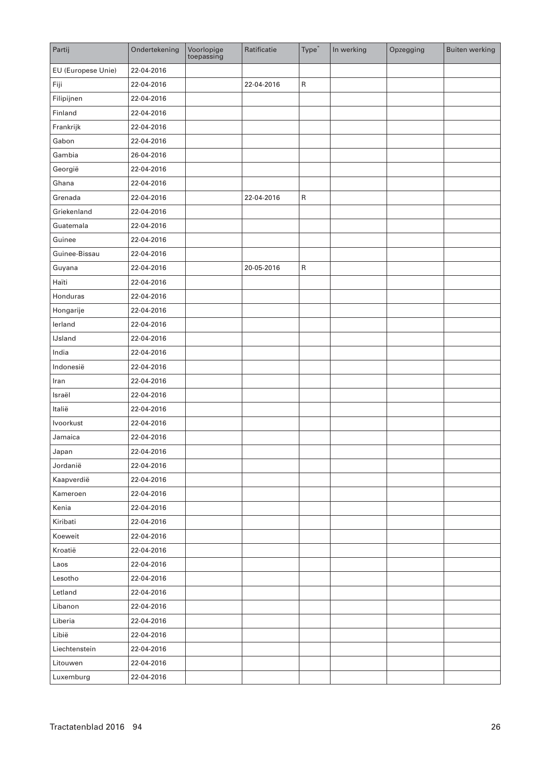| Partij             | Ondertekening | Voorlopige<br>toepassing | Ratificatie | Type <sup>*</sup> | In werking | Opzegging | <b>Buiten werking</b> |
|--------------------|---------------|--------------------------|-------------|-------------------|------------|-----------|-----------------------|
| EU (Europese Unie) | 22-04-2016    |                          |             |                   |            |           |                       |
| Fiji               | 22-04-2016    |                          | 22-04-2016  | ${\sf R}$         |            |           |                       |
| Filipijnen         | 22-04-2016    |                          |             |                   |            |           |                       |
| Finland            | 22-04-2016    |                          |             |                   |            |           |                       |
| Frankrijk          | 22-04-2016    |                          |             |                   |            |           |                       |
| Gabon              | 22-04-2016    |                          |             |                   |            |           |                       |
| Gambia             | 26-04-2016    |                          |             |                   |            |           |                       |
| Georgië            | 22-04-2016    |                          |             |                   |            |           |                       |
| Ghana              | 22-04-2016    |                          |             |                   |            |           |                       |
| Grenada            | 22-04-2016    |                          | 22-04-2016  | ${\sf R}$         |            |           |                       |
| Griekenland        | 22-04-2016    |                          |             |                   |            |           |                       |
| Guatemala          | 22-04-2016    |                          |             |                   |            |           |                       |
| Guinee             | 22-04-2016    |                          |             |                   |            |           |                       |
| Guinee-Bissau      | 22-04-2016    |                          |             |                   |            |           |                       |
| Guyana             | 22-04-2016    |                          | 20-05-2016  | ${\sf R}$         |            |           |                       |
| Haïti              | 22-04-2016    |                          |             |                   |            |           |                       |
| Honduras           | 22-04-2016    |                          |             |                   |            |           |                       |
| Hongarije          | 22-04-2016    |                          |             |                   |            |           |                       |
| lerland            | 22-04-2016    |                          |             |                   |            |           |                       |
| <b>IJsland</b>     | 22-04-2016    |                          |             |                   |            |           |                       |
| India              | 22-04-2016    |                          |             |                   |            |           |                       |
| Indonesië          | 22-04-2016    |                          |             |                   |            |           |                       |
| Iran               | 22-04-2016    |                          |             |                   |            |           |                       |
| Israël             | 22-04-2016    |                          |             |                   |            |           |                       |
| Italië             | 22-04-2016    |                          |             |                   |            |           |                       |
| Ivoorkust          | 22-04-2016    |                          |             |                   |            |           |                       |
| Jamaica            | 22-04-2016    |                          |             |                   |            |           |                       |
| Japan              | 22-04-2016    |                          |             |                   |            |           |                       |
| Jordanië           | 22-04-2016    |                          |             |                   |            |           |                       |
| Kaapverdië         | 22-04-2016    |                          |             |                   |            |           |                       |
| Kameroen           | 22-04-2016    |                          |             |                   |            |           |                       |
| Kenia              | 22-04-2016    |                          |             |                   |            |           |                       |
| Kiribati           | 22-04-2016    |                          |             |                   |            |           |                       |
| Koeweit            | 22-04-2016    |                          |             |                   |            |           |                       |
| Kroatië            | 22-04-2016    |                          |             |                   |            |           |                       |
| Laos               | 22-04-2016    |                          |             |                   |            |           |                       |
| Lesotho            | 22-04-2016    |                          |             |                   |            |           |                       |
| Letland            | 22-04-2016    |                          |             |                   |            |           |                       |
| Libanon            | 22-04-2016    |                          |             |                   |            |           |                       |
| Liberia            | 22-04-2016    |                          |             |                   |            |           |                       |
| Libië              | 22-04-2016    |                          |             |                   |            |           |                       |
| Liechtenstein      | 22-04-2016    |                          |             |                   |            |           |                       |
| Litouwen           | 22-04-2016    |                          |             |                   |            |           |                       |
| Luxemburg          | 22-04-2016    |                          |             |                   |            |           |                       |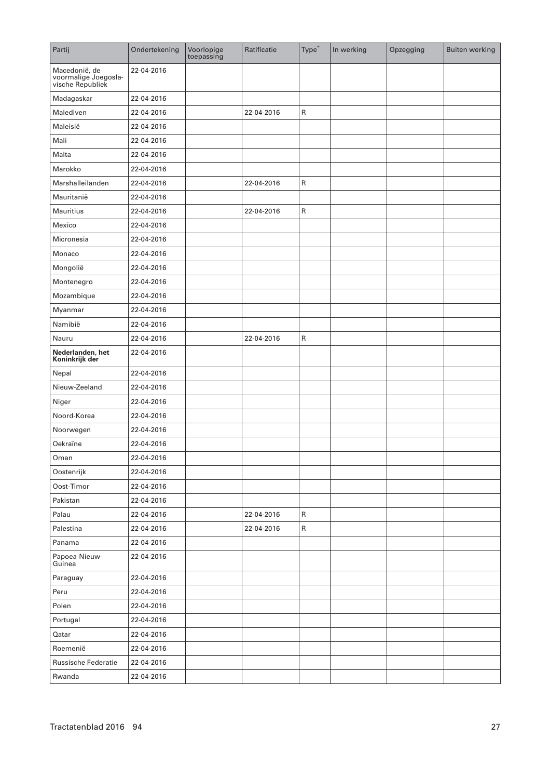| Partij                                                    | Ondertekening | Voorlopige<br>toepassing | Ratificatie | Type <sup>*</sup> | In werking | Opzegging | <b>Buiten werking</b> |
|-----------------------------------------------------------|---------------|--------------------------|-------------|-------------------|------------|-----------|-----------------------|
| Macedonië, de<br>voormalige Joegosla-<br>vische Republiek | 22-04-2016    |                          |             |                   |            |           |                       |
| Madagaskar                                                | 22-04-2016    |                          |             |                   |            |           |                       |
| Malediven                                                 | 22-04-2016    |                          | 22-04-2016  | R                 |            |           |                       |
| Maleisië                                                  | 22-04-2016    |                          |             |                   |            |           |                       |
| Mali                                                      | 22-04-2016    |                          |             |                   |            |           |                       |
| Malta                                                     | 22-04-2016    |                          |             |                   |            |           |                       |
| Marokko                                                   | 22-04-2016    |                          |             |                   |            |           |                       |
| Marshalleilanden                                          | 22-04-2016    |                          | 22-04-2016  | R                 |            |           |                       |
| Mauritanië                                                | 22-04-2016    |                          |             |                   |            |           |                       |
| <b>Mauritius</b>                                          | 22-04-2016    |                          | 22-04-2016  | R                 |            |           |                       |
| Mexico                                                    | 22-04-2016    |                          |             |                   |            |           |                       |
| Micronesia                                                | 22-04-2016    |                          |             |                   |            |           |                       |
| Monaco                                                    | 22-04-2016    |                          |             |                   |            |           |                       |
| Mongolië                                                  | 22-04-2016    |                          |             |                   |            |           |                       |
| Montenegro                                                | 22-04-2016    |                          |             |                   |            |           |                       |
| Mozambique                                                | 22-04-2016    |                          |             |                   |            |           |                       |
| Myanmar                                                   | 22-04-2016    |                          |             |                   |            |           |                       |
| Namibië                                                   | 22-04-2016    |                          |             |                   |            |           |                       |
| Nauru                                                     | 22-04-2016    |                          | 22-04-2016  | R                 |            |           |                       |
| Nederlanden, het<br>Koninkrijk der                        | 22-04-2016    |                          |             |                   |            |           |                       |
| Nepal                                                     | 22-04-2016    |                          |             |                   |            |           |                       |
| Nieuw-Zeeland                                             | 22-04-2016    |                          |             |                   |            |           |                       |
| Niger                                                     | 22-04-2016    |                          |             |                   |            |           |                       |
| Noord-Korea                                               | 22-04-2016    |                          |             |                   |            |           |                       |
| Noorwegen                                                 | 22-04-2016    |                          |             |                   |            |           |                       |
| Oekraïne                                                  | 22-04-2016    |                          |             |                   |            |           |                       |
| Oman                                                      | 22-04-2016    |                          |             |                   |            |           |                       |
| Oostenrijk                                                | 22-04-2016    |                          |             |                   |            |           |                       |
| Oost-Timor                                                | 22-04-2016    |                          |             |                   |            |           |                       |
| Pakistan                                                  | 22-04-2016    |                          |             |                   |            |           |                       |
| Palau                                                     | 22-04-2016    |                          | 22-04-2016  | ${\sf R}$         |            |           |                       |
| Palestina                                                 | 22-04-2016    |                          | 22-04-2016  | ${\sf R}$         |            |           |                       |
| Panama                                                    | 22-04-2016    |                          |             |                   |            |           |                       |
| Papoea-Nieuw-<br>Guinea                                   | 22-04-2016    |                          |             |                   |            |           |                       |
| Paraguay                                                  | 22-04-2016    |                          |             |                   |            |           |                       |
| Peru                                                      | 22-04-2016    |                          |             |                   |            |           |                       |
| Polen                                                     | 22-04-2016    |                          |             |                   |            |           |                       |
| Portugal                                                  | 22-04-2016    |                          |             |                   |            |           |                       |
| Qatar                                                     | 22-04-2016    |                          |             |                   |            |           |                       |
| Roemenië                                                  | 22-04-2016    |                          |             |                   |            |           |                       |
| Russische Federatie                                       | 22-04-2016    |                          |             |                   |            |           |                       |
| Rwanda                                                    | 22-04-2016    |                          |             |                   |            |           |                       |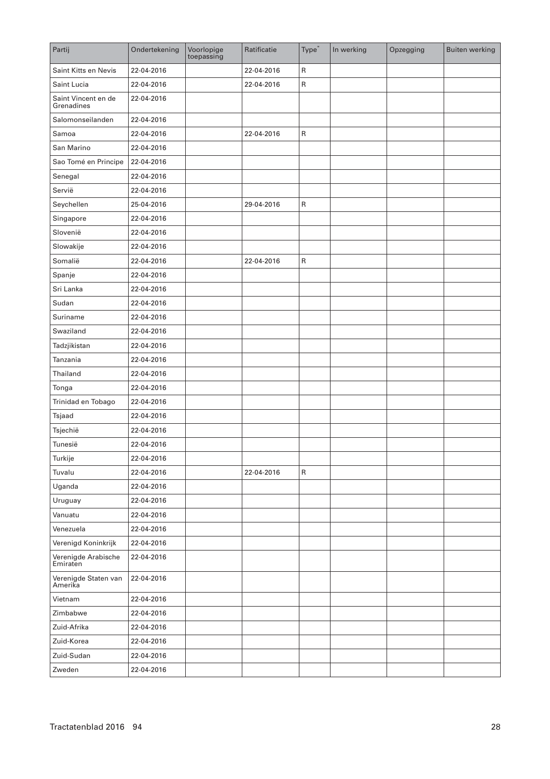| Partij                            | Ondertekening | Voorlopige<br>toepassing | Ratificatie | Type <sup>*</sup> | In werking | Opzegging | <b>Buiten werking</b> |
|-----------------------------------|---------------|--------------------------|-------------|-------------------|------------|-----------|-----------------------|
| Saint Kitts en Nevis              | 22-04-2016    |                          | 22-04-2016  | R                 |            |           |                       |
| Saint Lucia                       | 22-04-2016    |                          | 22-04-2016  | R                 |            |           |                       |
| Saint Vincent en de<br>Grenadines | 22-04-2016    |                          |             |                   |            |           |                       |
| Salomonseilanden                  | 22-04-2016    |                          |             |                   |            |           |                       |
| Samoa                             | 22-04-2016    |                          | 22-04-2016  | R                 |            |           |                       |
| San Marino                        | 22-04-2016    |                          |             |                   |            |           |                       |
| Sao Tomé en Principe              | 22-04-2016    |                          |             |                   |            |           |                       |
| Senegal                           | 22-04-2016    |                          |             |                   |            |           |                       |
| Servië                            | 22-04-2016    |                          |             |                   |            |           |                       |
| Seychellen                        | 25-04-2016    |                          | 29-04-2016  | R                 |            |           |                       |
| Singapore                         | 22-04-2016    |                          |             |                   |            |           |                       |
| Slovenië                          | 22-04-2016    |                          |             |                   |            |           |                       |
| Slowakije                         | 22-04-2016    |                          |             |                   |            |           |                       |
| Somalië                           | 22-04-2016    |                          | 22-04-2016  | R                 |            |           |                       |
| Spanje                            | 22-04-2016    |                          |             |                   |            |           |                       |
| Sri Lanka                         | 22-04-2016    |                          |             |                   |            |           |                       |
| Sudan                             | 22-04-2016    |                          |             |                   |            |           |                       |
| Suriname                          | 22-04-2016    |                          |             |                   |            |           |                       |
| Swaziland                         | 22-04-2016    |                          |             |                   |            |           |                       |
| Tadzjikistan                      | 22-04-2016    |                          |             |                   |            |           |                       |
| Tanzania                          | 22-04-2016    |                          |             |                   |            |           |                       |
| Thailand                          | 22-04-2016    |                          |             |                   |            |           |                       |
| Tonga                             | 22-04-2016    |                          |             |                   |            |           |                       |
| Trinidad en Tobago                | 22-04-2016    |                          |             |                   |            |           |                       |
| Tsjaad                            | 22-04-2016    |                          |             |                   |            |           |                       |
| Tsjechië                          | 22-04-2016    |                          |             |                   |            |           |                       |
| Tunesië                           | 22-04-2016    |                          |             |                   |            |           |                       |
| Turkije                           | 22-04-2016    |                          |             |                   |            |           |                       |
| Tuvalu                            | 22-04-2016    |                          | 22-04-2016  | $\mathsf R$       |            |           |                       |
| Uganda                            | 22-04-2016    |                          |             |                   |            |           |                       |
| Uruguay                           | 22-04-2016    |                          |             |                   |            |           |                       |
| Vanuatu                           | 22-04-2016    |                          |             |                   |            |           |                       |
| Venezuela                         | 22-04-2016    |                          |             |                   |            |           |                       |
| Verenigd Koninkrijk               | 22-04-2016    |                          |             |                   |            |           |                       |
| Verenigde Arabische<br>Emiraten   | 22-04-2016    |                          |             |                   |            |           |                       |
| Verenigde Staten van<br>Amerika   | 22-04-2016    |                          |             |                   |            |           |                       |
| Vietnam                           | 22-04-2016    |                          |             |                   |            |           |                       |
| Zimbabwe                          | 22-04-2016    |                          |             |                   |            |           |                       |
| Zuid-Afrika                       | 22-04-2016    |                          |             |                   |            |           |                       |
| Zuid-Korea                        | 22-04-2016    |                          |             |                   |            |           |                       |
| Zuid-Sudan                        | 22-04-2016    |                          |             |                   |            |           |                       |
| Zweden                            | 22-04-2016    |                          |             |                   |            |           |                       |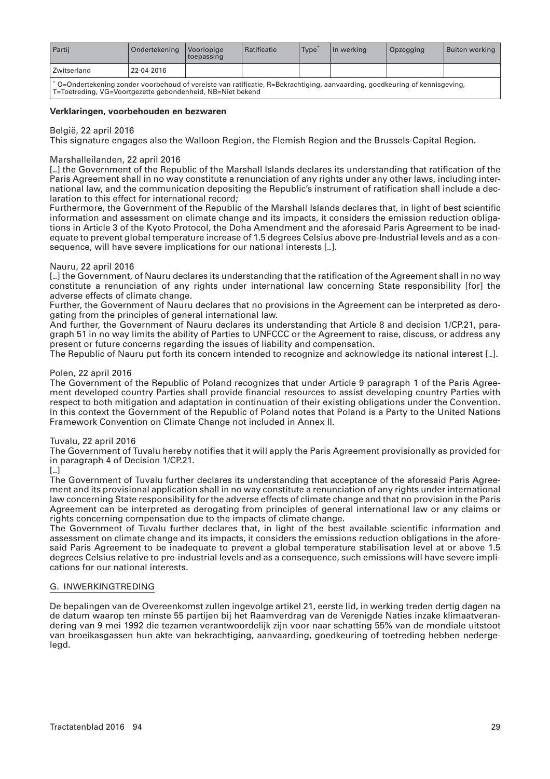| Partij                                                                                                                                                                                    | Ondertekening | Voorlopige<br>toepassing | <b>Ratificatie</b> | Type | In werking | Opzegging | Buiten werking |  |
|-------------------------------------------------------------------------------------------------------------------------------------------------------------------------------------------|---------------|--------------------------|--------------------|------|------------|-----------|----------------|--|
| Zwitserland                                                                                                                                                                               | 22-04-2016    |                          |                    |      |            |           |                |  |
| * O=Ondertekening zonder voorbehoud of vereiste van ratificatie, R=Bekrachtiging, aanvaarding, goedkeuring of kennisgeving,<br>T=Toetreding, VG=Voortgezette gebondenheid, NB=Niet bekend |               |                          |                    |      |            |           |                |  |

# **Verklaringen, voorbehouden en bezwaren**

# België, 22 april 2016

This signature engages also the Walloon Region, the Flemish Region and the Brussels-Capital Region.

# Marshalleilanden, 22 april 2016

[…] the Government of the Republic of the Marshall Islands declares its understanding that ratification of the Paris Agreement shall in no way constitute a renunciation of any rights under any other laws, including international law, and the communication depositing the Republic's instrument of ratification shall include a declaration to this effect for international record;

Furthermore, the Government of the Republic of the Marshall Islands declares that, in light of best scientific information and assessment on climate change and its impacts, it considers the emission reduction obligations in Article 3 of the Kyoto Protocol, the Doha Amendment and the aforesaid Paris Agreement to be inadequate to prevent global temperature increase of 1.5 degrees Celsius above pre-Industrial levels and as a consequence, will have severe implications for our national interests [...].

# Nauru, 22 april 2016

[...] the Government, of Nauru declares its understanding that the ratification of the Agreement shall in no way constitute a renunciation of any rights under international law concerning State responsibility [for] the adverse effects of climate change.

Further, the Government of Nauru declares that no provisions in the Agreement can be interpreted as derogating from the principles of general international law.

And further, the Government of Nauru declares its understanding that Article 8 and decision 1/CP.21, paragraph 51 in no way limits the ability of Parties to UNFCCC or the Agreement to raise, discuss, or address any present or future concerns regarding the issues of liability and compensation.

The Republic of Nauru put forth its concern intended to recognize and acknowledge its national interest […].

# Polen, 22 april 2016

The Government of the Republic of Poland recognizes that under Article 9 paragraph 1 of the Paris Agreement developed country Parties shall provide financial resources to assist developing country Parties with respect to both mitigation and adaptation in continuation of their existing obligations under the Convention. In this context the Government of the Republic of Poland notes that Poland is a Party to the United Nations Framework Convention on Climate Change not included in Annex II.

# Tuvalu, 22 april 2016

The Government of Tuvalu hereby notifies that it will apply the Paris Agreement provisionally as provided for in paragraph 4 of Decision 1/CP.21.

 $\lceil$ ...]

The Government of Tuvalu further declares its understanding that acceptance of the aforesaid Paris Agreement and its provisional application shall in no way constitute a renunciation of any rights under international law concerning State responsibility for the adverse effects of climate change and that no provision in the Paris Agreement can be interpreted as derogating from principles of general international law or any claims or rights concerning compensation due to the impacts of climate change.

The Government of Tuvalu further declares that, in light of the best available scientific information and assessment on climate change and its impacts, it considers the emissions reduction obligations in the aforesaid Paris Agreement to be inadequate to prevent a global temperature stabilisation level at or above 1.5 degrees Celsius relative to pre-industrial levels and as a consequence, such emissions will have severe implications for our national interests.

# G. INWERKINGTREDING

De bepalingen van de Overeenkomst zullen ingevolge artikel 21, eerste lid, in werking treden dertig dagen na de datum waarop ten minste 55 partijen bij het Raamverdrag van de Verenigde Naties inzake klimaatverandering van 9 mei 1992 die tezamen verantwoordelijk zijn voor naar schatting 55% van de mondiale uitstoot van broeikasgassen hun akte van bekrachtiging, aanvaarding, goedkeuring of toetreding hebben nedergelegd.